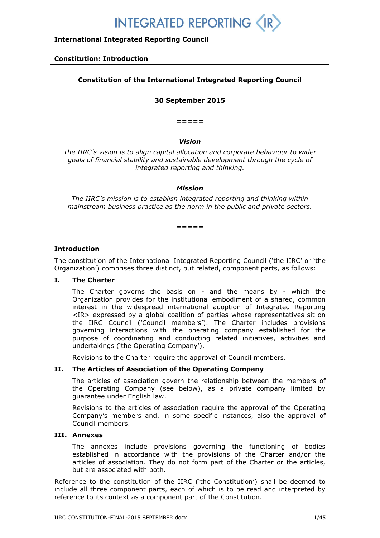## **International Integrated Reporting Council**

#### **Constitution: Introduction**

## **Constitution of the International Integrated Reporting Council**

#### **30 September 2015**

**=====**

#### *Vision*

*The IIRC's vision is to align capital allocation and corporate behaviour to wider goals of financial stability and sustainable development through the cycle of integrated reporting and thinking.*

#### *Mission*

*The IIRC's mission is to establish integrated reporting and thinking within mainstream business practice as the norm in the public and private sectors.*

**=====**

### **Introduction**

The constitution of the International Integrated Reporting Council ('the IIRC' or 'the Organization') comprises three distinct, but related, component parts, as follows:

### **I. The Charter**

The Charter governs the basis on - and the means by - which the Organization provides for the institutional embodiment of a shared, common interest in the widespread international adoption of Integrated Reporting <IR> expressed by a global coalition of parties whose representatives sit on the IIRC Council ('Council members'). The Charter includes provisions governing interactions with the operating company established for the purpose of coordinating and conducting related initiatives, activities and undertakings ('the Operating Company').

Revisions to the Charter require the approval of Council members.

#### **II. The Articles of Association of the Operating Company**

The articles of association govern the relationship between the members of the Operating Company (see below), as a private company limited by guarantee under English law.

Revisions to the articles of association require the approval of the Operating Company's members and, in some specific instances, also the approval of Council members.

#### **III. Annexes**

The annexes include provisions governing the functioning of bodies established in accordance with the provisions of the Charter and/or the articles of association. They do not form part of the Charter or the articles, but are associated with both.

Reference to the constitution of the IIRC ('the Constitution') shall be deemed to include all three component parts, each of which is to be read and interpreted by reference to its context as a component part of the Constitution.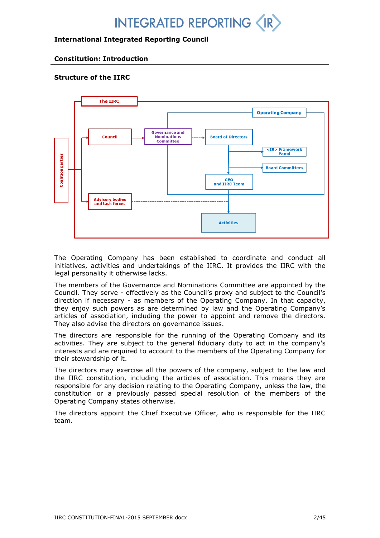## **International Integrated Reporting Council**

## **Constitution: Introduction**

## **Structure of the IIRC**



The Operating Company has been established to coordinate and conduct all initiatives, activities and undertakings of the IIRC. It provides the IIRC with the legal personality it otherwise lacks.

The members of the Governance and Nominations Committee are appointed by the Council. They serve - effectively as the Council's proxy and subject to the Council's direction if necessary - as members of the Operating Company. In that capacity, they enjoy such powers as are determined by law and the Operating Company's articles of association, including the power to appoint and remove the directors. They also advise the directors on governance issues.

The directors are responsible for the running of the Operating Company and its activities. They are subject to the general fiduciary duty to act in the company's interests and are required to account to the members of the Operating Company for their stewardship of it.

The directors may exercise all the powers of the company, subject to the law and the IIRC constitution, including the articles of association. This means they are responsible for any decision relating to the Operating Company, unless the law, the constitution or a previously passed special resolution of the members of the Operating Company states otherwise.

The directors appoint the Chief Executive Officer, who is responsible for the IIRC team.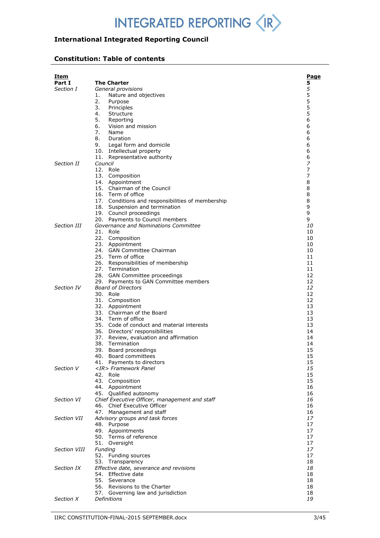## **International Integrated Reporting Council**

## **Constitution: Table of contents**

| <u>Item</u>         |                                                                      | <u>Page</u> |
|---------------------|----------------------------------------------------------------------|-------------|
| Part I              | <b>The Charter</b>                                                   | 5           |
| Section I           | General provisions                                                   | 5           |
|                     | 1.<br>Nature and objectives                                          | 5           |
|                     | 2.<br>Purpose                                                        | 5           |
|                     | 3.<br>Principles                                                     | 5           |
|                     | 4.<br>Structure                                                      | 5           |
|                     | 5.<br>Reporting                                                      | 6           |
|                     | 6.<br>Vision and mission                                             | 6           |
|                     | 7.<br>Name                                                           | 6           |
|                     | 8.<br>Duration                                                       | 6           |
|                     | 9.<br>Legal form and domicile                                        | 6           |
|                     | 10. Intellectual property                                            | 6           |
| Section II          | 11. Representative authority<br>Council                              | 6<br>7      |
|                     | 12. Role                                                             | 7           |
|                     | 13. Composition                                                      | 7           |
|                     | 14. Appointment                                                      | 8           |
|                     | 15. Chairman of the Council                                          | 8           |
|                     | 16. Term of office                                                   | 8           |
|                     | 17. Conditions and responsibilities of membership                    | 8           |
|                     | 18. Suspension and termination                                       | 9           |
|                     | 19. Council proceedings                                              | 9           |
|                     | 20. Payments to Council members                                      | 9           |
| Section III         | Governance and Nominations Committee                                 | 10          |
|                     | 21. Role<br>22. Composition                                          | 10<br>10    |
|                     | 23. Appointment                                                      | 10          |
|                     | 24. GAN Committee Chairman                                           | 10          |
|                     | 25. Term of office                                                   | 11          |
|                     | 26. Responsibilities of membership                                   | 11          |
|                     | 27. Termination                                                      | 11          |
|                     | 28. GAN Committee proceedings                                        | 12          |
|                     | 29. Payments to GAN Committee members                                | 12          |
| Section IV          | <b>Board of Directors</b>                                            | 12          |
|                     | 30. Role                                                             | 12          |
|                     | 31. Composition<br>32. Appointment                                   | 12<br>13    |
|                     | 33. Chairman of the Board                                            | 13          |
|                     | 34. Term of office                                                   | 13          |
|                     | 35. Code of conduct and material interests                           | 13          |
|                     | 36. Directors' responsibilities                                      | 14          |
|                     | 37. Review, evaluation and affirmation                               | 14          |
|                     | 38. Termination                                                      | 14          |
|                     | 39. Board proceedings                                                | 15          |
|                     | 40. Board committees                                                 | 15          |
|                     | 41. Payments to directors                                            | 15          |
| Section V           | <ir> Framework Panel</ir>                                            | 15          |
|                     | 42. Role                                                             | 15          |
|                     | 43. Composition<br>44. Appointment                                   | 15<br>16    |
|                     | 45. Qualified autonomy                                               | 16          |
| Section VI          | Chief Executive Officer, management and staff                        | 16          |
|                     | 46. Chief Executive Officer                                          | 16          |
|                     | 47. Management and staff                                             | 16          |
| Section VII         | Advisory groups and task forces                                      | 17          |
|                     | 48. Purpose                                                          | 17          |
|                     | 49. Appointments                                                     | 17          |
|                     | 50. Terms of reference                                               | 17          |
|                     | 51. Oversight                                                        | 17          |
| <b>Section VIII</b> | Funding                                                              | 17          |
|                     | 52. Funding sources                                                  | 17          |
| Section IX          | 53.<br>Transparency                                                  | 18<br>18    |
|                     | <i>Effective date, severance and revisions</i><br>54. Effective date | 18          |
|                     | 55. Severance                                                        | 18          |
|                     | 56. Revisions to the Charter                                         | 18          |
|                     | 57. Governing law and jurisdiction                                   | 18          |
| Section X           | Definitions                                                          | 19          |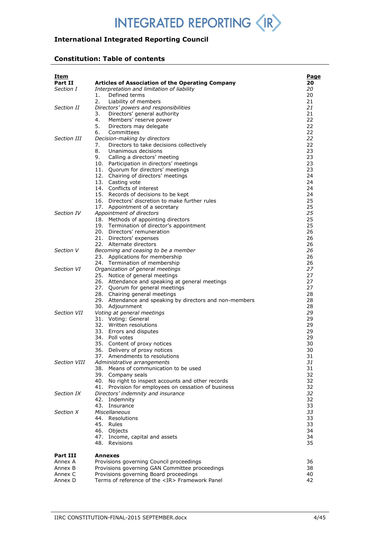## **International Integrated Reporting Council**

## **Constitution: Table of contents**

| <u>Item</u>  |                                                                                               | <u>Page</u> |
|--------------|-----------------------------------------------------------------------------------------------|-------------|
| Part II      | Articles of Association of the Operating Company                                              | 20          |
| Section I    | Interpretation and limitation of liability                                                    | 20          |
|              | Defined terms<br>1.                                                                           | 20          |
|              | 2.<br>Liability of members                                                                    | 21          |
| Section II   | Directors' powers and responsibilities                                                        | 21          |
|              | 3.<br>Directors' general authority                                                            | 21          |
|              | 4.<br>Members' reserve power                                                                  | 22          |
|              | 5.<br>Directors may delegate                                                                  | 22          |
|              | 6.<br>Committees                                                                              | 22          |
| Section III  | Decision-making by directors<br>Directors to take decisions collectively                      | 22<br>22    |
|              | 7.<br>8.<br>Unanimous decisions                                                               | 23          |
|              | 9.<br>Calling a directors' meeting                                                            | 23          |
|              | 10. Participation in directors' meetings                                                      | 23          |
|              | 11. Quorum for directors' meetings                                                            | 23          |
|              | 12. Chairing of directors' meetings                                                           | 24          |
|              | 13. Casting vote                                                                              | 24          |
|              | 14. Conflicts of interest                                                                     | 24          |
|              | 15. Records of decisions to be kept                                                           | 24          |
|              | 16. Directors' discretion to make further rules                                               | 25          |
|              | 17. Appointment of a secretary                                                                | 25          |
| Section IV   | Appointment of directors                                                                      | 25          |
|              | 18. Methods of appointing directors                                                           | 25          |
|              | 19. Termination of director's appointment                                                     | 25          |
|              | 20. Directors' remuneration                                                                   | 26          |
|              | 21. Directors' expenses                                                                       | 26          |
|              | 22. Alternate directors                                                                       | 26          |
| Section V    | Becoming and ceasing to be a member                                                           | 26<br>26    |
|              | 23. Applications for membership                                                               | 26          |
| Section VI   | 24. Termination of membership<br>Organization of general meetings                             | 27          |
|              | 25. Notice of general meetings                                                                | 27          |
|              | 26. Attendance and speaking at general meetings                                               | 27          |
|              | 27. Quorum for general meetings                                                               | 27          |
|              | 28. Chairing general meetings                                                                 | 28          |
|              | 29. Attendance and speaking by directors and non-members                                      | 28          |
|              | 30. Adjournment                                                                               | 28          |
| Section VII  | Voting at general meetings                                                                    | 29          |
|              | 31. Voting: General                                                                           | 29          |
|              | 32. Written resolutions                                                                       | 29          |
|              | 33. Errors and disputes                                                                       | 29          |
|              | 34. Poll votes                                                                                | 29          |
|              | 35. Content of proxy notices                                                                  | 30          |
|              | 36. Delivery of proxy notices                                                                 | 30          |
| Section VIII | 37. Amendments to resolutions                                                                 | 31<br>31    |
|              | Administrative arrangements<br>38. Means of communication to be used                          | 31          |
|              | 39. Company seals                                                                             | 32          |
|              | 40. No right to inspect accounts and other records                                            | 32          |
|              | 41. Provision for employees on cessation of business                                          | 32          |
| Section IX   | Directors' indemnity and insurance                                                            | 32          |
|              | 42. Indemnity                                                                                 | 32          |
|              | 43. Insurance                                                                                 | 33          |
| Section X    | Miscellaneous                                                                                 | 33          |
|              | 44. Resolutions                                                                               | 33          |
|              | 45. Rules                                                                                     | 33          |
|              | 46. Objects                                                                                   | 34          |
|              | 47. Income, capital and assets                                                                | 34          |
|              | 48. Revisions                                                                                 | 35          |
| Part III     | <b>Annexes</b>                                                                                |             |
| Annex A      | Provisions governing Council proceedings                                                      | 36          |
| Annex B      | Provisions governing GAN Committee proceedings                                                | 38          |
| Annex C      | Provisions governing Board proceedings<br>Terms of reference of the <ir> Framework Panel</ir> | 40<br>42    |
| Annex D      |                                                                                               |             |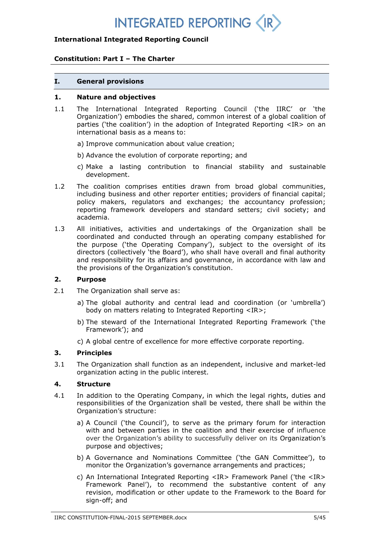## **International Integrated Reporting Council**

## **Constitution: Part I – The Charter**

#### **I. General provisions**

#### **1. Nature and objectives**

- 1.1 The International Integrated Reporting Council ('the IIRC' or 'the Organization') embodies the shared, common interest of a global coalition of parties ('the coalition') in the adoption of Integrated Reporting <IR> on an international basis as a means to:
	- a) Improve communication about value creation;
	- b) Advance the evolution of corporate reporting; and
	- c) Make a lasting contribution to financial stability and sustainable development.
- 1.2 The coalition comprises entities drawn from broad global communities, including business and other reporter entities; providers of financial capital; policy makers, regulators and exchanges; the accountancy profession; reporting framework developers and standard setters; civil society; and academia.
- 1.3 All initiatives, activities and undertakings of the Organization shall be coordinated and conducted through an operating company established for the purpose ('the Operating Company'), subject to the oversight of its directors (collectively 'the Board'), who shall have overall and final authority and responsibility for its affairs and governance, in accordance with law and the provisions of the Organization's constitution.

## **2. Purpose**

- 2.1 The Organization shall serve as:
	- a) The global authority and central lead and coordination (or 'umbrella') body on matters relating to Integrated Reporting <IR>;
	- b) The steward of the International Integrated Reporting Framework ('the Framework'); and
	- c) A global centre of excellence for more effective corporate reporting.

### **3. Principles**

3.1 The Organization shall function as an independent, inclusive and market-led organization acting in the public interest.

### **4. Structure**

- 4.1 In addition to the Operating Company, in which the legal rights, duties and responsibilities of the Organization shall be vested, there shall be within the Organization's structure:
	- a) A Council ('the Council'), to serve as the primary forum for interaction with and between parties in the coalition and their exercise of influence over the Organization's ability to successfully deliver on its Organization's purpose and objectives;
	- b) A Governance and Nominations Committee ('the GAN Committee'), to monitor the Organization's governance arrangements and practices;
	- c) An International Integrated Reporting <IR> Framework Panel ('the <IR> Framework Panel'), to recommend the substantive content of any revision, modification or other update to the Framework to the Board for sign-off; and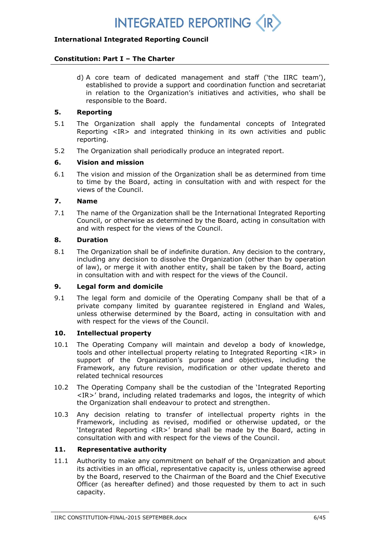

## **Constitution: Part I – The Charter**

d) A core team of dedicated management and staff ('the IIRC team'), established to provide a support and coordination function and secretariat in relation to the Organization's initiatives and activities, who shall be responsible to the Board.

## **5. Reporting**

- 5.1 The Organization shall apply the fundamental concepts of Integrated Reporting <IR> and integrated thinking in its own activities and public reporting.
- 5.2 The Organization shall periodically produce an integrated report.

## **6. Vision and mission**

6.1 The vision and mission of the Organization shall be as determined from time to time by the Board, acting in consultation with and with respect for the views of the Council.

## **7. Name**

7.1 The name of the Organization shall be the International Integrated Reporting Council, or otherwise as determined by the Board, acting in consultation with and with respect for the views of the Council.

## **8. Duration**

8.1 The Organization shall be of indefinite duration. Any decision to the contrary, including any decision to dissolve the Organization (other than by operation of law), or merge it with another entity, shall be taken by the Board, acting in consultation with and with respect for the views of the Council.

### **9. Legal form and domicile**

9.1 The legal form and domicile of the Operating Company shall be that of a private company limited by guarantee registered in England and Wales, unless otherwise determined by the Board, acting in consultation with and with respect for the views of the Council.

## **10. Intellectual property**

- 10.1 The Operating Company will maintain and develop a body of knowledge, tools and other intellectual property relating to Integrated Reporting <IR> in support of the Organization's purpose and objectives, including the Framework, any future revision, modification or other update thereto and related technical resources
- 10.2 The Operating Company shall be the custodian of the 'Integrated Reporting <IR>' brand, including related trademarks and logos, the integrity of which the Organization shall endeavour to protect and strengthen.
- 10.3 Any decision relating to transfer of intellectual property rights in the Framework, including as revised, modified or otherwise updated, or the 'Integrated Reporting <IR>' brand shall be made by the Board, acting in consultation with and with respect for the views of the Council.

## **11. Representative authority**

11.1 Authority to make any commitment on behalf of the Organization and about its activities in an official, representative capacity is, unless otherwise agreed by the Board, reserved to the Chairman of the Board and the Chief Executive Officer (as hereafter defined) and those requested by them to act in such capacity.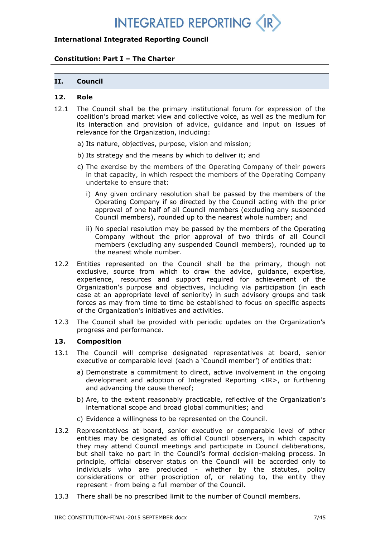## **International Integrated Reporting Council**

## **Constitution: Part I – The Charter**

### **II. Council**

#### **12. Role**

- 12.1 The Council shall be the primary institutional forum for expression of the coalition's broad market view and collective voice, as well as the medium for its interaction and provision of advice, guidance and input on issues of relevance for the Organization, including:
	- a) Its nature, objectives, purpose, vision and mission;
	- b) Its strategy and the means by which to deliver it; and
	- c) The exercise by the members of the Operating Company of their powers in that capacity, in which respect the members of the Operating Company undertake to ensure that:
		- i) Any given ordinary resolution shall be passed by the members of the Operating Company if so directed by the Council acting with the prior approval of one half of all Council members (excluding any suspended Council members), rounded up to the nearest whole number; and
		- ii) No special resolution may be passed by the members of the Operating Company without the prior approval of two thirds of all Council members (excluding any suspended Council members), rounded up to the nearest whole number.
- 12.2 Entities represented on the Council shall be the primary, though not exclusive, source from which to draw the advice, guidance, expertise, experience, resources and support required for achievement of the Organization's purpose and objectives, including via participation (in each case at an appropriate level of seniority) in such advisory groups and task forces as may from time to time be established to focus on specific aspects of the Organization's initiatives and activities.
- 12.3 The Council shall be provided with periodic updates on the Organization's progress and performance.

### **13. Composition**

- 13.1 The Council will comprise designated representatives at board, senior executive or comparable level (each a 'Council member') of entities that:
	- a) Demonstrate a commitment to direct, active involvement in the ongoing development and adoption of Integrated Reporting <IR>, or furthering and advancing the cause thereof;
	- b) Are, to the extent reasonably practicable, reflective of the Organization's international scope and broad global communities; and
	- c) Evidence a willingness to be represented on the Council.
- 13.2 Representatives at board, senior executive or comparable level of other entities may be designated as official Council observers, in which capacity they may attend Council meetings and participate in Council deliberations, but shall take no part in the Council's formal decision-making process. In principle, official observer status on the Council will be accorded only to individuals who are precluded - whether by the statutes, policy considerations or other proscription of, or relating to, the entity they represent - from being a full member of the Council.
- 13.3 There shall be no prescribed limit to the number of Council members.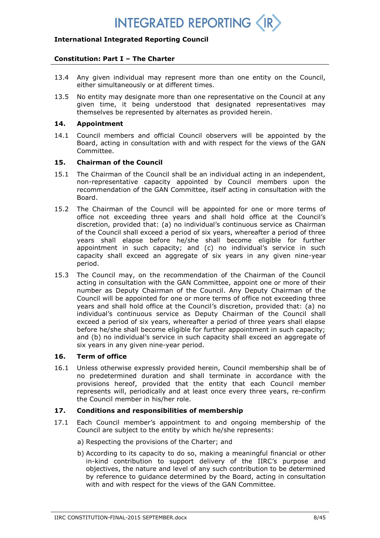## **International Integrated Reporting Council**

### **Constitution: Part I – The Charter**

- 13.4 Any given individual may represent more than one entity on the Council, either simultaneously or at different times.
- 13.5 No entity may designate more than one representative on the Council at any given time, it being understood that designated representatives may themselves be represented by alternates as provided herein.

## **14. Appointment**

14.1 Council members and official Council observers will be appointed by the Board, acting in consultation with and with respect for the views of the GAN Committee.

## **15. Chairman of the Council**

- 15.1 The Chairman of the Council shall be an individual acting in an independent, non-representative capacity appointed by Council members upon the recommendation of the GAN Committee, itself acting in consultation with the Board.
- 15.2 The Chairman of the Council will be appointed for one or more terms of office not exceeding three years and shall hold office at the Council's discretion, provided that: (a) no individual's continuous service as Chairman of the Council shall exceed a period of six years, whereafter a period of three years shall elapse before he/she shall become eligible for further appointment in such capacity; and (c) no individual's service in such capacity shall exceed an aggregate of six years in any given nine-year period.
- 15.3 The Council may, on the recommendation of the Chairman of the Council acting in consultation with the GAN Committee, appoint one or more of their number as Deputy Chairman of the Council. Any Deputy Chairman of the Council will be appointed for one or more terms of office not exceeding three years and shall hold office at the Council's discretion, provided that: (a) no individual's continuous service as Deputy Chairman of the Council shall exceed a period of six years, whereafter a period of three years shall elapse before he/she shall become eligible for further appointment in such capacity; and (b) no individual's service in such capacity shall exceed an aggregate of six years in any given nine-year period.

### **16. Term of office**

16.1 Unless otherwise expressly provided herein, Council membership shall be of no predetermined duration and shall terminate in accordance with the provisions hereof, provided that the entity that each Council member represents will, periodically and at least once every three years, re-confirm the Council member in his/her role.

### **17. Conditions and responsibilities of membership**

- 17.1 Each Council member's appointment to and ongoing membership of the Council are subject to the entity by which he/she represents:
	- a) Respecting the provisions of the Charter; and
	- b) According to its capacity to do so, making a meaningful financial or other in-kind contribution to support delivery of the IIRC's purpose and objectives, the nature and level of any such contribution to be determined by reference to guidance determined by the Board, acting in consultation with and with respect for the views of the GAN Committee.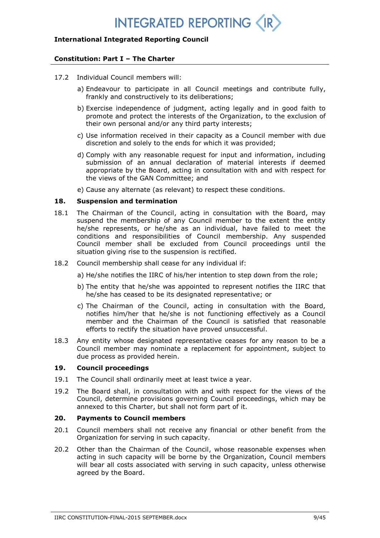## **International Integrated Reporting Council**

## **Constitution: Part I – The Charter**

- 17.2 Individual Council members will:
	- a) Endeavour to participate in all Council meetings and contribute fully, frankly and constructively to its deliberations;
	- b) Exercise independence of judgment, acting legally and in good faith to promote and protect the interests of the Organization, to the exclusion of their own personal and/or any third party interests;
	- c) Use information received in their capacity as a Council member with due discretion and solely to the ends for which it was provided;
	- d) Comply with any reasonable request for input and information, including submission of an annual declaration of material interests if deemed appropriate by the Board, acting in consultation with and with respect for the views of the GAN Committee; and
	- e) Cause any alternate (as relevant) to respect these conditions.

#### **18. Suspension and termination**

- 18.1 The Chairman of the Council, acting in consultation with the Board, may suspend the membership of any Council member to the extent the entity he/she represents, or he/she as an individual, have failed to meet the conditions and responsibilities of Council membership. Any suspended Council member shall be excluded from Council proceedings until the situation giving rise to the suspension is rectified.
- 18.2 Council membership shall cease for any individual if:
	- a) He/she notifies the IIRC of his/her intention to step down from the role;
	- b) The entity that he/she was appointed to represent notifies the IIRC that he/she has ceased to be its designated representative; or
	- c) The Chairman of the Council, acting in consultation with the Board, notifies him/her that he/she is not functioning effectively as a Council member and the Chairman of the Council is satisfied that reasonable efforts to rectify the situation have proved unsuccessful.
- 18.3 Any entity whose designated representative ceases for any reason to be a Council member may nominate a replacement for appointment, subject to due process as provided herein.

## **19. Council proceedings**

- 19.1 The Council shall ordinarily meet at least twice a year.
- 19.2 The Board shall, in consultation with and with respect for the views of the Council, determine provisions governing Council proceedings, which may be annexed to this Charter, but shall not form part of it.

## **20. Payments to Council members**

- 20.1 Council members shall not receive any financial or other benefit from the Organization for serving in such capacity.
- 20.2 Other than the Chairman of the Council, whose reasonable expenses when acting in such capacity will be borne by the Organization, Council members will bear all costs associated with serving in such capacity, unless otherwise agreed by the Board.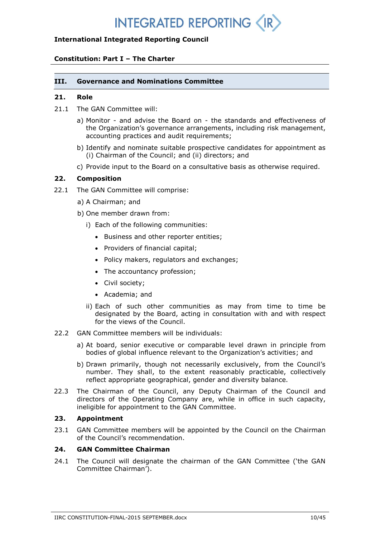## **International Integrated Reporting Council**

## **Constitution: Part I – The Charter**

## **III. Governance and Nominations Committee**

#### **21. Role**

- 21.1 The GAN Committee will:
	- a) Monitor and advise the Board on the standards and effectiveness of the Organization's governance arrangements, including risk management, accounting practices and audit requirements;
	- b) Identify and nominate suitable prospective candidates for appointment as (i) Chairman of the Council; and (ii) directors; and
	- c) Provide input to the Board on a consultative basis as otherwise required.

## **22. Composition**

- 22.1 The GAN Committee will comprise:
	- a) A Chairman; and
	- b) One member drawn from:
		- i) Each of the following communities:
			- Business and other reporter entities;
			- Providers of financial capital;
			- Policy makers, regulators and exchanges;
			- The accountancy profession;
			- Civil society;
			- Academia; and
		- ii) Each of such other communities as may from time to time be designated by the Board, acting in consultation with and with respect for the views of the Council.
- 22.2 GAN Committee members will be individuals:
	- a) At board, senior executive or comparable level drawn in principle from bodies of global influence relevant to the Organization's activities; and
	- b) Drawn primarily, though not necessarily exclusively, from the Council's number. They shall, to the extent reasonably practicable, collectively reflect appropriate geographical, gender and diversity balance.
- 22.3 The Chairman of the Council, any Deputy Chairman of the Council and directors of the Operating Company are, while in office in such capacity, ineligible for appointment to the GAN Committee.

## **23. Appointment**

23.1 GAN Committee members will be appointed by the Council on the Chairman of the Council's recommendation.

## **24. GAN Committee Chairman**

24.1 The Council will designate the chairman of the GAN Committee ('the GAN Committee Chairman').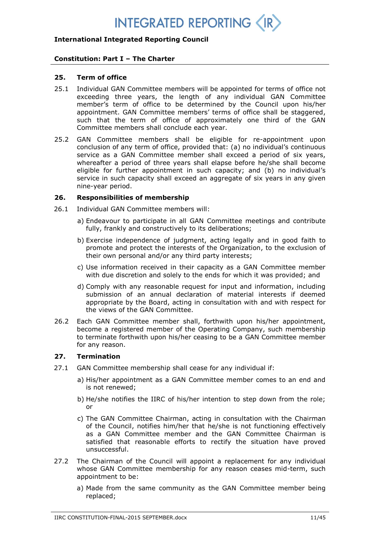## **International Integrated Reporting Council**

## **Constitution: Part I – The Charter**

### **25. Term of office**

- 25.1 Individual GAN Committee members will be appointed for terms of office not exceeding three years, the length of any individual GAN Committee member's term of office to be determined by the Council upon his/her appointment. GAN Committee members' terms of office shall be staggered, such that the term of office of approximately one third of the GAN Committee members shall conclude each year.
- 25.2 GAN Committee members shall be eligible for re-appointment upon conclusion of any term of office, provided that: (a) no individual's continuous service as a GAN Committee member shall exceed a period of six years, whereafter a period of three years shall elapse before he/she shall become eligible for further appointment in such capacity; and (b) no individual's service in such capacity shall exceed an aggregate of six years in any given nine-year period.

### **26. Responsibilities of membership**

- 26.1 Individual GAN Committee members will:
	- a) Endeavour to participate in all GAN Committee meetings and contribute fully, frankly and constructively to its deliberations;
	- b) Exercise independence of judgment, acting legally and in good faith to promote and protect the interests of the Organization, to the exclusion of their own personal and/or any third party interests;
	- c) Use information received in their capacity as a GAN Committee member with due discretion and solely to the ends for which it was provided; and
	- d) Comply with any reasonable request for input and information, including submission of an annual declaration of material interests if deemed appropriate by the Board, acting in consultation with and with respect for the views of the GAN Committee.
- 26.2 Each GAN Committee member shall, forthwith upon his/her appointment, become a registered member of the Operating Company, such membership to terminate forthwith upon his/her ceasing to be a GAN Committee member for any reason.

### **27. Termination**

- 27.1 GAN Committee membership shall cease for any individual if:
	- a) His/her appointment as a GAN Committee member comes to an end and is not renewed;
	- b) He/she notifies the IIRC of his/her intention to step down from the role; or
	- c) The GAN Committee Chairman, acting in consultation with the Chairman of the Council, notifies him/her that he/she is not functioning effectively as a GAN Committee member and the GAN Committee Chairman is satisfied that reasonable efforts to rectify the situation have proved unsuccessful.
- 27.2 The Chairman of the Council will appoint a replacement for any individual whose GAN Committee membership for any reason ceases mid-term, such appointment to be:
	- a) Made from the same community as the GAN Committee member being replaced;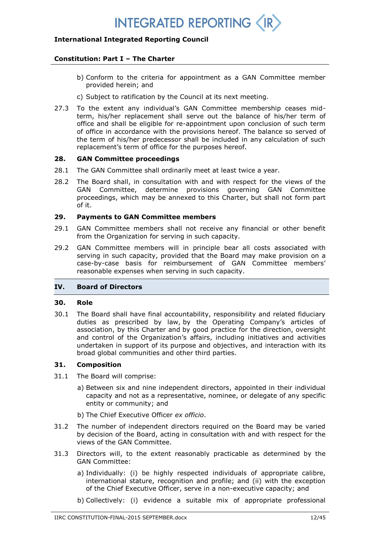## **International Integrated Reporting Council**

## **Constitution: Part I – The Charter**

- b) Conform to the criteria for appointment as a GAN Committee member provided herein; and
- c) Subject to ratification by the Council at its next meeting.
- 27.3 To the extent any individual's GAN Committee membership ceases midterm, his/her replacement shall serve out the balance of his/her term of office and shall be eligible for re-appointment upon conclusion of such term of office in accordance with the provisions hereof. The balance so served of the term of his/her predecessor shall be included in any calculation of such replacement's term of office for the purposes hereof.

## **28. GAN Committee proceedings**

- 28.1 The GAN Committee shall ordinarily meet at least twice a year.
- 28.2 The Board shall, in consultation with and with respect for the views of the GAN Committee, determine provisions governing GAN Committee proceedings, which may be annexed to this Charter, but shall not form part of it.

## **29. Payments to GAN Committee members**

- 29.1 GAN Committee members shall not receive any financial or other benefit from the Organization for serving in such capacity.
- 29.2 GAN Committee members will in principle bear all costs associated with serving in such capacity, provided that the Board may make provision on a case-by-case basis for reimbursement of GAN Committee members' reasonable expenses when serving in such capacity.

## **IV. Board of Directors**

### **30. Role**

30.1 The Board shall have final accountability, responsibility and related fiduciary duties as prescribed by law, by the Operating Company's articles of association, by this Charter and by good practice for the direction, oversight and control of the Organization's affairs, including initiatives and activities undertaken in support of its purpose and objectives, and interaction with its broad global communities and other third parties.

### **31. Composition**

- 31.1 The Board will comprise:
	- a) Between six and nine independent directors, appointed in their individual capacity and not as a representative, nominee, or delegate of any specific entity or community; and
	- b) The Chief Executive Officer *ex officio*.
- 31.2 The number of independent directors required on the Board may be varied by decision of the Board, acting in consultation with and with respect for the views of the GAN Committee.
- 31.3 Directors will, to the extent reasonably practicable as determined by the GAN Committee:
	- a) Individually: (i) be highly respected individuals of appropriate calibre, international stature, recognition and profile; and (ii) with the exception of the Chief Executive Officer, serve in a non-executive capacity; and
	- b) Collectively: (i) evidence a suitable mix of appropriate professional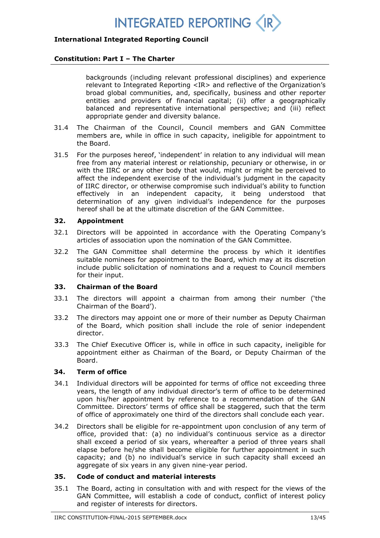## **International Integrated Reporting Council**

### **Constitution: Part I – The Charter**

backgrounds (including relevant professional disciplines) and experience relevant to Integrated Reporting <IR> and reflective of the Organization's broad global communities, and, specifically, business and other reporter entities and providers of financial capital; (ii) offer a geographically balanced and representative international perspective; and (iii) reflect appropriate gender and diversity balance.

- 31.4 The Chairman of the Council, Council members and GAN Committee members are, while in office in such capacity, ineligible for appointment to the Board.
- 31.5 For the purposes hereof, 'independent' in relation to any individual will mean free from any material interest or relationship, pecuniary or otherwise, in or with the IIRC or any other body that would, might or might be perceived to affect the independent exercise of the individual's judgment in the capacity of IIRC director, or otherwise compromise such individual's ability to function effectively in an independent capacity*,* it being understood that determination of any given individual's independence for the purposes hereof shall be at the ultimate discretion of the GAN Committee.

## **32. Appointment**

- 32.1 Directors will be appointed in accordance with the Operating Company's articles of association upon the nomination of the GAN Committee.
- 32.2 The GAN Committee shall determine the process by which it identifies suitable nominees for appointment to the Board, which may at its discretion include public solicitation of nominations and a request to Council members for their input.

### **33. Chairman of the Board**

- 33.1 The directors will appoint a chairman from among their number ('the Chairman of the Board').
- 33.2 The directors may appoint one or more of their number as Deputy Chairman of the Board, which position shall include the role of senior independent director.
- 33.3 The Chief Executive Officer is, while in office in such capacity, ineligible for appointment either as Chairman of the Board, or Deputy Chairman of the Board.

## **34. Term of office**

- 34.1 Individual directors will be appointed for terms of office not exceeding three years, the length of any individual director's term of office to be determined upon his/her appointment by reference to a recommendation of the GAN Committee. Directors' terms of office shall be staggered, such that the term of office of approximately one third of the directors shall conclude each year.
- 34.2 Directors shall be eligible for re-appointment upon conclusion of any term of office, provided that: (a) no individual's continuous service as a director shall exceed a period of six years, whereafter a period of three years shall elapse before he/she shall become eligible for further appointment in such capacity; and (b) no individual's service in such capacity shall exceed an aggregate of six years in any given nine-year period.

### **35. Code of conduct and material interests**

35.1 The Board, acting in consultation with and with respect for the views of the GAN Committee, will establish a code of conduct, conflict of interest policy and register of interests for directors.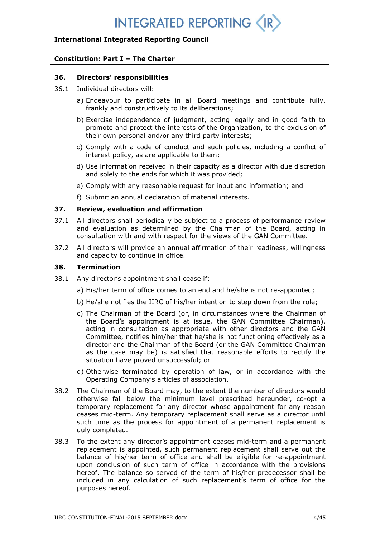## **International Integrated Reporting Council**

## **Constitution: Part I – The Charter**

#### **36. Directors' responsibilities**

- 36.1 Individual directors will:
	- a) Endeavour to participate in all Board meetings and contribute fully, frankly and constructively to its deliberations;
	- b) Exercise independence of judgment, acting legally and in good faith to promote and protect the interests of the Organization, to the exclusion of their own personal and/or any third party interests;
	- c) Comply with a code of conduct and such policies, including a conflict of interest policy, as are applicable to them;
	- d) Use information received in their capacity as a director with due discretion and solely to the ends for which it was provided;
	- e) Comply with any reasonable request for input and information; and
	- f) Submit an annual declaration of material interests.

#### **37. Review, evaluation and affirmation**

- 37.1 All directors shall periodically be subject to a process of performance review and evaluation as determined by the Chairman of the Board, acting in consultation with and with respect for the views of the GAN Committee.
- 37.2 All directors will provide an annual affirmation of their readiness, willingness and capacity to continue in office.

#### **38. Termination**

- 38.1 Any director's appointment shall cease if:
	- a) His/her term of office comes to an end and he/she is not re-appointed;
	- b) He/she notifies the IIRC of his/her intention to step down from the role;
	- c) The Chairman of the Board (or, in circumstances where the Chairman of the Board's appointment is at issue, the GAN Committee Chairman), acting in consultation as appropriate with other directors and the GAN Committee, notifies him/her that he/she is not functioning effectively as a director and the Chairman of the Board (or the GAN Committee Chairman as the case may be) is satisfied that reasonable efforts to rectify the situation have proved unsuccessful; or
	- d) Otherwise terminated by operation of law, or in accordance with the Operating Company's articles of association.
- 38.2 The Chairman of the Board may, to the extent the number of directors would otherwise fall below the minimum level prescribed hereunder, co-opt a temporary replacement for any director whose appointment for any reason ceases mid-term. Any temporary replacement shall serve as a director until such time as the process for appointment of a permanent replacement is duly completed.
- 38.3 To the extent any director's appointment ceases mid-term and a permanent replacement is appointed, such permanent replacement shall serve out the balance of his/her term of office and shall be eligible for re-appointment upon conclusion of such term of office in accordance with the provisions hereof. The balance so served of the term of his/her predecessor shall be included in any calculation of such replacement's term of office for the purposes hereof.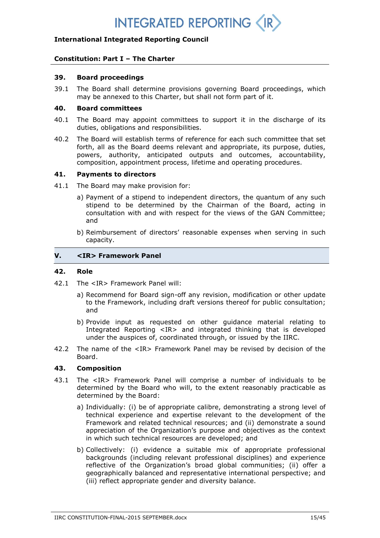## **INTEGRATED REPORTING <**

## **International Integrated Reporting Council**

## **Constitution: Part I – The Charter**

#### **39. Board proceedings**

39.1 The Board shall determine provisions governing Board proceedings, which may be annexed to this Charter, but shall not form part of it.

#### **40. Board committees**

- 40.1 The Board may appoint committees to support it in the discharge of its duties, obligations and responsibilities.
- 40.2 The Board will establish terms of reference for each such committee that set forth, all as the Board deems relevant and appropriate, its purpose, duties, powers, authority, anticipated outputs and outcomes, accountability, composition, appointment process, lifetime and operating procedures.

#### **41. Payments to directors**

- 41.1 The Board may make provision for:
	- a) Payment of a stipend to independent directors, the quantum of any such stipend to be determined by the Chairman of the Board, acting in consultation with and with respect for the views of the GAN Committee; and
	- b) Reimbursement of directors' reasonable expenses when serving in such capacity.

## **V. <IR> Framework Panel**

#### **42. Role**

- 42.1 The <IR> Framework Panel will:
	- a) Recommend for Board sign-off any revision, modification or other update to the Framework, including draft versions thereof for public consultation; and
	- b) Provide input as requested on other guidance material relating to Integrated Reporting <IR> and integrated thinking that is developed under the auspices of, coordinated through, or issued by the IIRC.
- 42.2 The name of the <IR> Framework Panel may be revised by decision of the Board.

## **43. Composition**

- 43.1 The <IR> Framework Panel will comprise a number of individuals to be determined by the Board who will, to the extent reasonably practicable as determined by the Board:
	- a) Individually: (i) be of appropriate calibre, demonstrating a strong level of technical experience and expertise relevant to the development of the Framework and related technical resources; and (ii) demonstrate a sound appreciation of the Organization's purpose and objectives as the context in which such technical resources are developed; and
	- b) Collectively: (i) evidence a suitable mix of appropriate professional backgrounds (including relevant professional disciplines) and experience reflective of the Organization's broad global communities; (ii) offer a geographically balanced and representative international perspective; and (iii) reflect appropriate gender and diversity balance.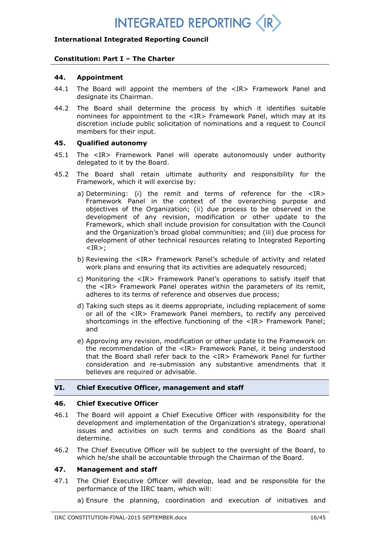## **International Integrated Reporting Council**

## **Constitution: Part I – The Charter**

#### **44. Appointment**

- 44.1 The Board will appoint the members of the <IR> Framework Panel and designate its Chairman.
- 44.2 The Board shall determine the process by which it identifies suitable nominees for appointment to the <IR> Framework Panel, which may at its discretion include public solicitation of nominations and a request to Council members for their input.

## **45. Qualified autonomy**

- 45.1 The <IR> Framework Panel will operate autonomously under authority delegated to it by the Board.
- 45.2 The Board shall retain ultimate authority and responsibility for the Framework, which it will exercise by:
	- a) Determining: (i) the remit and terms of reference for the <IR> Framework Panel in the context of the overarching purpose and objectives of the Organization; (ii) due process to be observed in the development of any revision, modification or other update to the Framework, which shall include provision for consultation with the Council and the Organization's broad global communities; and (iii) due process for development of other technical resources relating to Integrated Reporting  $<$ IR $>$ ;
	- b) Reviewing the <IR> Framework Panel's schedule of activity and related work plans and ensuring that its activities are adequately resourced;
	- c) Monitoring the <IR> Framework Panel's operations to satisfy itself that the <IR> Framework Panel operates within the parameters of its remit, adheres to its terms of reference and observes due process;
	- d) Taking such steps as it deems appropriate, including replacement of some or all of the <IR> Framework Panel members, to rectify any perceived shortcomings in the effective functioning of the <IR> Framework Panel; and
	- e) Approving any revision, modification or other update to the Framework on the recommendation of the <IR> Framework Panel, it being understood that the Board shall refer back to the <IR> Framework Panel for further consideration and re-submission any substantive amendments that it believes are required or advisable.

## **VI. Chief Executive Officer, management and staff**

### **46. Chief Executive Officer**

- 46.1 The Board will appoint a Chief Executive Officer with responsibility for the development and implementation of the Organization's strategy, operational issues and activities on such terms and conditions as the Board shall determine.
- 46.2 The Chief Executive Officer will be subject to the oversight of the Board, to which he/she shall be accountable through the Chairman of the Board.

## **47. Management and staff**

47.1 The Chief Executive Officer will develop, lead and be responsible for the performance of the IIRC team, which will:

a) Ensure the planning, coordination and execution of initiatives and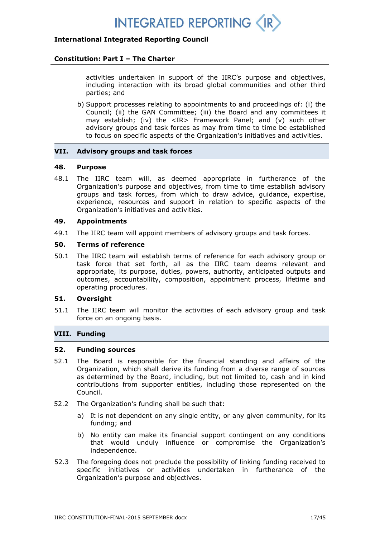

## **Constitution: Part I – The Charter**

activities undertaken in support of the IIRC's purpose and objectives, including interaction with its broad global communities and other third parties; and

b) Support processes relating to appointments to and proceedings of: (i) the Council; (ii) the GAN Committee; (iii) the Board and any committees it may establish; (iv) the <IR> Framework Panel; and (v) such other advisory groups and task forces as may from time to time be established to focus on specific aspects of the Organization's initiatives and activities.

### **VII. Advisory groups and task forces**

### **48. Purpose**

48.1 The IIRC team will, as deemed appropriate in furtherance of the Organization's purpose and objectives, from time to time establish advisory groups and task forces, from which to draw advice, guidance, expertise, experience, resources and support in relation to specific aspects of the Organization's initiatives and activities.

## **49. Appointments**

49.1 The IIRC team will appoint members of advisory groups and task forces.

## **50. Terms of reference**

50.1 The IIRC team will establish terms of reference for each advisory group or task force that set forth, all as the IIRC team deems relevant and appropriate, its purpose, duties, powers, authority, anticipated outputs and outcomes, accountability, composition, appointment process, lifetime and operating procedures.

## **51. Oversight**

51.1 The IIRC team will monitor the activities of each advisory group and task force on an ongoing basis.

## **VIII. Funding**

### **52. Funding sources**

- 52.1 The Board is responsible for the financial standing and affairs of the Organization, which shall derive its funding from a diverse range of sources as determined by the Board, including, but not limited to, cash and in kind contributions from supporter entities, including those represented on the Council.
- 52.2 The Organization's funding shall be such that:
	- a) It is not dependent on any single entity, or any given community, for its funding; and
	- b) No entity can make its financial support contingent on any conditions that would unduly influence or compromise the Organization's independence.
- 52.3 The foregoing does not preclude the possibility of linking funding received to specific initiatives or activities undertaken in furtherance of the Organization's purpose and objectives.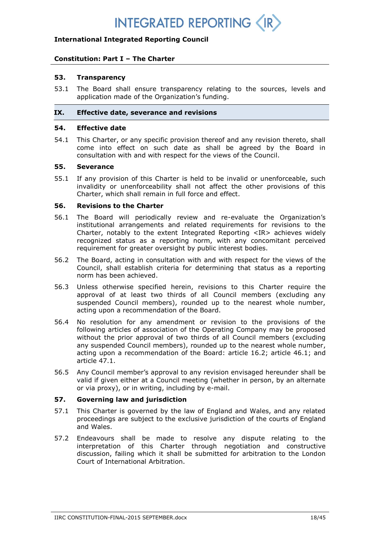## **INTEGRATED REPORTING <**

## **International Integrated Reporting Council**

## **Constitution: Part I – The Charter**

#### **53. Transparency**

53.1 The Board shall ensure transparency relating to the sources, levels and application made of the Organization's funding.

#### **IX. Effective date, severance and revisions**

#### **54. Effective date**

54.1 This Charter, or any specific provision thereof and any revision thereto, shall come into effect on such date as shall be agreed by the Board in consultation with and with respect for the views of the Council.

#### **55. Severance**

55.1 If any provision of this Charter is held to be invalid or unenforceable, such invalidity or unenforceability shall not affect the other provisions of this Charter, which shall remain in full force and effect.

#### **56. Revisions to the Charter**

- 56.1 The Board will periodically review and re-evaluate the Organization's institutional arrangements and related requirements for revisions to the Charter, notably to the extent Integrated Reporting  $\langle IR \rangle$  achieves widely recognized status as a reporting norm, with any concomitant perceived requirement for greater oversight by public interest bodies.
- 56.2 The Board, acting in consultation with and with respect for the views of the Council, shall establish criteria for determining that status as a reporting norm has been achieved.
- 56.3 Unless otherwise specified herein, revisions to this Charter require the approval of at least two thirds of all Council members (excluding any suspended Council members), rounded up to the nearest whole number, acting upon a recommendation of the Board.
- 56.4 No resolution for any amendment or revision to the provisions of the following articles of association of the Operating Company may be proposed without the prior approval of two thirds of all Council members (excluding any suspended Council members), rounded up to the nearest whole number, acting upon a recommendation of the Board: article 16.2; article 46.1; and article 47.1.
- 56.5 Any Council member's approval to any revision envisaged hereunder shall be valid if given either at a Council meeting (whether in person, by an alternate or via proxy), or in writing, including by e-mail.

### **57. Governing law and jurisdiction**

- 57.1 This Charter is governed by the law of England and Wales, and any related proceedings are subject to the exclusive jurisdiction of the courts of England and Wales.
- 57.2 Endeavours shall be made to resolve any dispute relating to the interpretation of this Charter through negotiation and constructive discussion, failing which it shall be submitted for arbitration to the London Court of International Arbitration.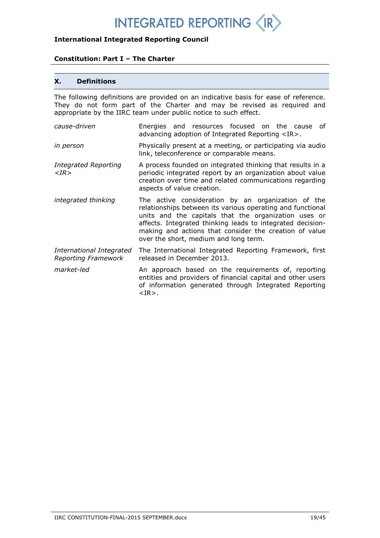## **International Integrated Reporting Council**

## **Constitution: Part I – The Charter**

## **X. Definitions**

The following definitions are provided on an indicative basis for ease of reference. They do not form part of the Charter and may be revised as required and appropriate by the IIRC team under public notice to such effect.

*cause-driven* Energies and resources focused on the cause of advancing adoption of Integrated Reporting <IR>. *in person* Physically present at a meeting, or participating via audio link, teleconference or comparable means. *Integrated Reporting <IR>* A process founded on integrated thinking that results in a periodic integrated report by an organization about value creation over time and related communications regarding aspects of value creation. *integrated thinking* The active consideration by an organization of the relationships between its various operating and functional units and the capitals that the organization uses or affects. Integrated thinking leads to integrated decisionmaking and actions that consider the creation of value over the short, medium and long term. *International Integrated Reporting Framework* The International Integrated Reporting Framework, first released in December 2013. *market-led* An approach based on the requirements of, reporting entities and providers of financial capital and other users of information generated through Integrated Reporting <IR>.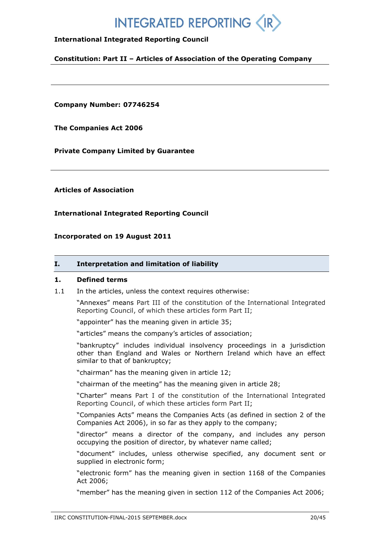## **INTEGRATED REPORTING**

## **International Integrated Reporting Council**

**Constitution: Part II – Articles of Association of the Operating Company**

**Company Number: 07746254**

**The Companies Act 2006**

**Private Company Limited by Guarantee**

**Articles of Association**

**International Integrated Reporting Council**

**Incorporated on 19 August 2011**

#### **I. Interpretation and limitation of liability**

#### **1. Defined terms**

1.1 In the articles, unless the context requires otherwise:

"Annexes" means Part III of the constitution of the International Integrated Reporting Council, of which these articles form Part II;

"appointer" has the meaning given in article 35;

"articles" means the company's articles of association;

"bankruptcy" includes individual insolvency proceedings in a jurisdiction other than England and Wales or Northern Ireland which have an effect similar to that of bankruptcy;

"chairman" has the meaning given in article 12;

"chairman of the meeting" has the meaning given in article 28;

"Charter" means Part I of the constitution of the International Integrated Reporting Council, of which these articles form Part II;

"Companies Acts" means the Companies Acts (as defined in section 2 of the Companies Act 2006), in so far as they apply to the company;

"director" means a director of the company, and includes any person occupying the position of director, by whatever name called;

"document" includes, unless otherwise specified, any document sent or supplied in electronic form;

"electronic form" has the meaning given in section 1168 of the Companies Act 2006;

"member" has the meaning given in section 112 of the Companies Act 2006;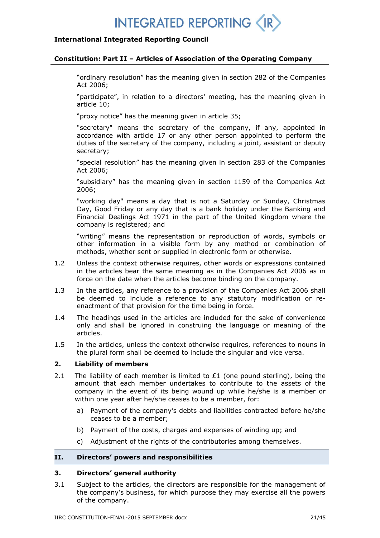## **International Integrated Reporting Council**

#### **Constitution: Part II – Articles of Association of the Operating Company**

"ordinary resolution" has the meaning given in section 282 of the Companies Act 2006;

"participate", in relation to a directors' meeting, has the meaning given in article 10;

"proxy notice" has the meaning given in article 35;

"secretary" means the secretary of the company, if any, appointed in accordance with article 17 or any other person appointed to perform the duties of the secretary of the company, including a joint, assistant or deputy secretary;

"special resolution" has the meaning given in section 283 of the Companies Act 2006;

"subsidiary" has the meaning given in section 1159 of the Companies Act 2006;

"working day" means a day that is not a Saturday or Sunday, Christmas Day, Good Friday or any day that is a bank holiday under the Banking and Financial Dealings Act 1971 in the part of the United Kingdom where the company is registered; and

"writing" means the representation or reproduction of words, symbols or other information in a visible form by any method or combination of methods, whether sent or supplied in electronic form or otherwise.

- 1.2 Unless the context otherwise requires, other words or expressions contained in the articles bear the same meaning as in the Companies Act 2006 as in force on the date when the articles become binding on the company.
- 1.3 In the articles, any reference to a provision of the Companies Act 2006 shall be deemed to include a reference to any statutory modification or reenactment of that provision for the time being in force.
- 1.4 The headings used in the articles are included for the sake of convenience only and shall be ignored in construing the language or meaning of the articles.
- 1.5 In the articles, unless the context otherwise requires, references to nouns in the plural form shall be deemed to include the singular and vice versa.

### **2. Liability of members**

- 2.1 The liability of each member is limited to  $E1$  (one pound sterling), being the amount that each member undertakes to contribute to the assets of the company in the event of its being wound up while he/she is a member or within one year after he/she ceases to be a member, for:
	- a) Payment of the company's debts and liabilities contracted before he/she ceases to be a member;
	- b) Payment of the costs, charges and expenses of winding up; and
	- c) Adjustment of the rights of the contributories among themselves.

## **II. Directors' powers and responsibilities**

## **3. Directors' general authority**

3.1 Subject to the articles, the directors are responsible for the management of the company's business, for which purpose they may exercise all the powers of the company.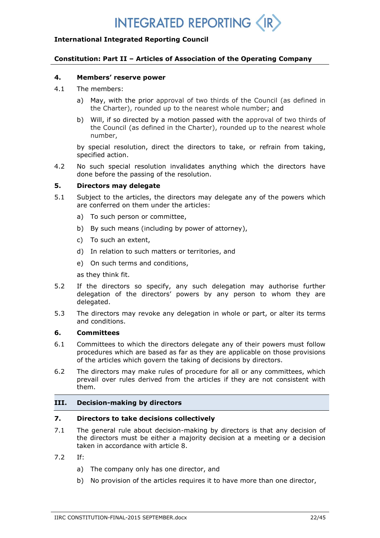## **INTEGRATED REPORTING <**

## **International Integrated Reporting Council**

## **Constitution: Part II – Articles of Association of the Operating Company**

#### **4. Members' reserve power**

- 4.1 The members:
	- a) May, with the prior approval of two thirds of the Council (as defined in the Charter), rounded up to the nearest whole number; and
	- b) Will, if so directed by a motion passed with the approval of two thirds of the Council (as defined in the Charter), rounded up to the nearest whole number,

by special resolution, direct the directors to take, or refrain from taking, specified action.

4.2 No such special resolution invalidates anything which the directors have done before the passing of the resolution.

## **5. Directors may delegate**

- 5.1 Subject to the articles, the directors may delegate any of the powers which are conferred on them under the articles:
	- a) To such person or committee,
	- b) By such means (including by power of attorney),
	- c) To such an extent,
	- d) In relation to such matters or territories, and
	- e) On such terms and conditions,

as they think fit.

- 5.2 If the directors so specify, any such delegation may authorise further delegation of the directors' powers by any person to whom they are delegated.
- 5.3 The directors may revoke any delegation in whole or part, or alter its terms and conditions.

#### **6. Committees**

- 6.1 Committees to which the directors delegate any of their powers must follow procedures which are based as far as they are applicable on those provisions of the articles which govern the taking of decisions by directors.
- 6.2 The directors may make rules of procedure for all or any committees, which prevail over rules derived from the articles if they are not consistent with them.

### **III. Decision-making by directors**

## **7. Directors to take decisions collectively**

- 7.1 The general rule about decision-making by directors is that any decision of the directors must be either a majority decision at a meeting or a decision taken in accordance with article 8.
- 7.2 If:
	- a) The company only has one director, and
	- b) No provision of the articles requires it to have more than one director,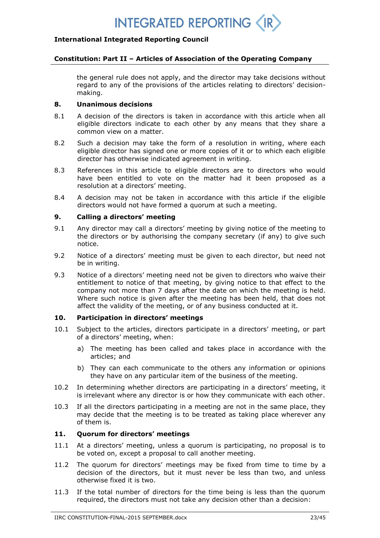

#### **Constitution: Part II – Articles of Association of the Operating Company**

the general rule does not apply, and the director may take decisions without regard to any of the provisions of the articles relating to directors' decisionmaking.

## **8. Unanimous decisions**

- 8.1 A decision of the directors is taken in accordance with this article when all eligible directors indicate to each other by any means that they share a common view on a matter.
- 8.2 Such a decision may take the form of a resolution in writing, where each eligible director has signed one or more copies of it or to which each eligible director has otherwise indicated agreement in writing.
- 8.3 References in this article to eligible directors are to directors who would have been entitled to vote on the matter had it been proposed as a resolution at a directors' meeting.
- 8.4 A decision may not be taken in accordance with this article if the eligible directors would not have formed a quorum at such a meeting.

#### **9. Calling a directors' meeting**

- 9.1 Any director may call a directors' meeting by giving notice of the meeting to the directors or by authorising the company secretary (if any) to give such notice.
- 9.2 Notice of a directors' meeting must be given to each director, but need not be in writing.
- 9.3 Notice of a directors' meeting need not be given to directors who waive their entitlement to notice of that meeting, by giving notice to that effect to the company not more than 7 days after the date on which the meeting is held. Where such notice is given after the meeting has been held, that does not affect the validity of the meeting, or of any business conducted at it.

## **10. Participation in directors' meetings**

- 10.1 Subject to the articles, directors participate in a directors' meeting, or part of a directors' meeting, when:
	- a) The meeting has been called and takes place in accordance with the articles; and
	- b) They can each communicate to the others any information or opinions they have on any particular item of the business of the meeting.
- 10.2 In determining whether directors are participating in a directors' meeting, it is irrelevant where any director is or how they communicate with each other.
- 10.3 If all the directors participating in a meeting are not in the same place, they may decide that the meeting is to be treated as taking place wherever any of them is.

## **11. Quorum for directors' meetings**

- 11.1 At a directors' meeting, unless a quorum is participating, no proposal is to be voted on, except a proposal to call another meeting.
- 11.2 The quorum for directors' meetings may be fixed from time to time by a decision of the directors, but it must never be less than two, and unless otherwise fixed it is two.
- 11.3 If the total number of directors for the time being is less than the quorum required, the directors must not take any decision other than a decision: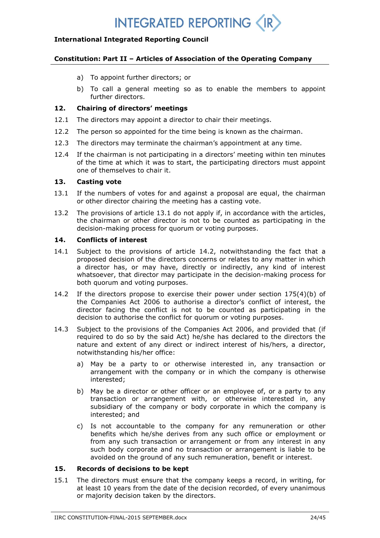## **International Integrated Reporting Council**

## **Constitution: Part II – Articles of Association of the Operating Company**

- a) To appoint further directors; or
- b) To call a general meeting so as to enable the members to appoint further directors.

## **12. Chairing of directors' meetings**

- 12.1 The directors may appoint a director to chair their meetings.
- 12.2 The person so appointed for the time being is known as the chairman.
- 12.3 The directors may terminate the chairman's appointment at any time.
- 12.4 If the chairman is not participating in a directors' meeting within ten minutes of the time at which it was to start, the participating directors must appoint one of themselves to chair it.

## **13. Casting vote**

- 13.1 If the numbers of votes for and against a proposal are equal, the chairman or other director chairing the meeting has a casting vote.
- 13.2 The provisions of article 13.1 do not apply if, in accordance with the articles, the chairman or other director is not to be counted as participating in the decision-making process for quorum or voting purposes.

## **14. Conflicts of interest**

- 14.1 Subject to the provisions of article 14.2, notwithstanding the fact that a proposed decision of the directors concerns or relates to any matter in which a director has, or may have, directly or indirectly, any kind of interest whatsoever, that director may participate in the decision-making process for both quorum and voting purposes.
- 14.2 If the directors propose to exercise their power under section 175(4)(b) of the Companies Act 2006 to authorise a director's conflict of interest, the director facing the conflict is not to be counted as participating in the decision to authorise the conflict for quorum or voting purposes.
- 14.3 Subject to the provisions of the Companies Act 2006, and provided that (if required to do so by the said Act) he/she has declared to the directors the nature and extent of any direct or indirect interest of his/hers, a director, notwithstanding his/her office:
	- a) May be a party to or otherwise interested in, any transaction or arrangement with the company or in which the company is otherwise interested;
	- b) May be a director or other officer or an employee of, or a party to any transaction or arrangement with, or otherwise interested in, any subsidiary of the company or body corporate in which the company is interested; and
	- c) Is not accountable to the company for any remuneration or other benefits which he/she derives from any such office or employment or from any such transaction or arrangement or from any interest in any such body corporate and no transaction or arrangement is liable to be avoided on the ground of any such remuneration, benefit or interest.

### **15. Records of decisions to be kept**

15.1 The directors must ensure that the company keeps a record, in writing, for at least 10 years from the date of the decision recorded, of every unanimous or majority decision taken by the directors.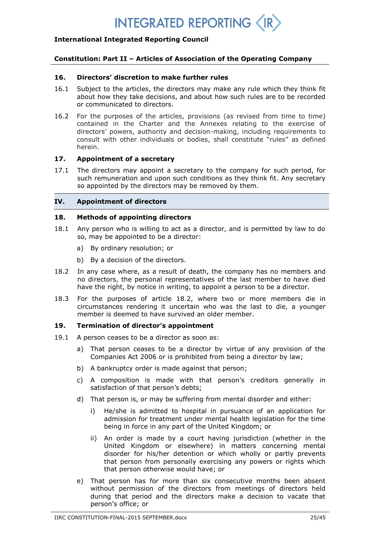## **International Integrated Reporting Council**

## **Constitution: Part II – Articles of Association of the Operating Company**

### **16. Directors' discretion to make further rules**

- 16.1 Subject to the articles, the directors may make any rule which they think fit about how they take decisions, and about how such rules are to be recorded or communicated to directors.
- 16.2 For the purposes of the articles, provisions (as revised from time to time) contained in the Charter and the Annexes relating to the exercise of directors' powers, authority and decision-making, including requirements to consult with other individuals or bodies, shall constitute "rules" as defined herein.

## **17. Appointment of a secretary**

17.1 The directors may appoint a secretary to the company for such period, for such remuneration and upon such conditions as they think fit. Any secretary so appointed by the directors may be removed by them.

## **IV. Appointment of directors**

#### **18. Methods of appointing directors**

- 18.1 Any person who is willing to act as a director, and is permitted by law to do so, may be appointed to be a director:
	- a) By ordinary resolution; or
	- b) By a decision of the directors.
- 18.2 In any case where, as a result of death, the company has no members and no directors, the personal representatives of the last member to have died have the right, by notice in writing, to appoint a person to be a director.
- 18.3 For the purposes of article 18.2, where two or more members die in circumstances rendering it uncertain who was the last to die, a younger member is deemed to have survived an older member.

## **19. Termination of director's appointment**

- 19.1 A person ceases to be a director as soon as:
	- a) That person ceases to be a director by virtue of any provision of the Companies Act 2006 or is prohibited from being a director by law;
	- b) A bankruptcy order is made against that person;
	- c) A composition is made with that person's creditors generally in satisfaction of that person's debts;
	- d) That person is, or may be suffering from mental disorder and either:
		- i) He/she is admitted to hospital in pursuance of an application for admission for treatment under mental health legislation for the time being in force in any part of the United Kingdom; or
		- ii) An order is made by a court having jurisdiction (whether in the United Kingdom or elsewhere) in matters concerning mental disorder for his/her detention or which wholly or partly prevents that person from personally exercising any powers or rights which that person otherwise would have; or
	- e) That person has for more than six consecutive months been absent without permission of the directors from meetings of directors held during that period and the directors make a decision to vacate that person's office; or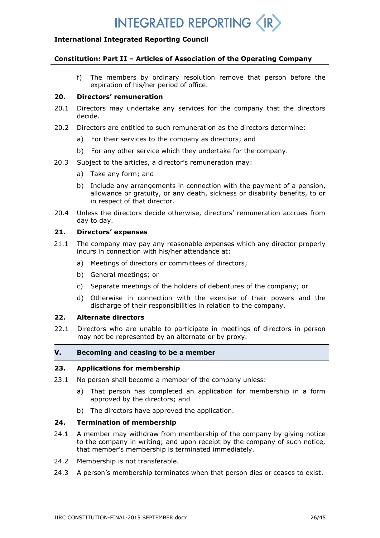

### **Constitution: Part II – Articles of Association of the Operating Company**

f) The members by ordinary resolution remove that person before the expiration of his/her period of office.

## **20. Directors' remuneration**

- 20.1 Directors may undertake any services for the company that the directors decide.
- 20.2 Directors are entitled to such remuneration as the directors determine:
	- a) For their services to the company as directors; and
	- b) For any other service which they undertake for the company.
- 20.3 Subject to the articles, a director's remuneration may:
	- a) Take any form; and
	- b) Include any arrangements in connection with the payment of a pension, allowance or gratuity, or any death, sickness or disability benefits, to or in respect of that director.
- 20.4 Unless the directors decide otherwise, directors' remuneration accrues from day to day.

## **21. Directors' expenses**

- 21.1 The company may pay any reasonable expenses which any director properly incurs in connection with his/her attendance at:
	- a) Meetings of directors or committees of directors;
	- b) General meetings; or
	- c) Separate meetings of the holders of debentures of the company; or
	- d) Otherwise in connection with the exercise of their powers and the discharge of their responsibilities in relation to the company.

### **22. Alternate directors**

22.1 Directors who are unable to participate in meetings of directors in person may not be represented by an alternate or by proxy.

### **V. Becoming and ceasing to be a member**

## **23. Applications for membership**

- 23.1 No person shall become a member of the company unless:
	- a) That person has completed an application for membership in a form approved by the directors; and
	- b) The directors have approved the application.

### **24. Termination of membership**

- 24.1 A member may withdraw from membership of the company by giving notice to the company in writing; and upon receipt by the company of such notice, that member's membership is terminated immediately.
- 24.2 Membership is not transferable.
- 24.3 A person's membership terminates when that person dies or ceases to exist.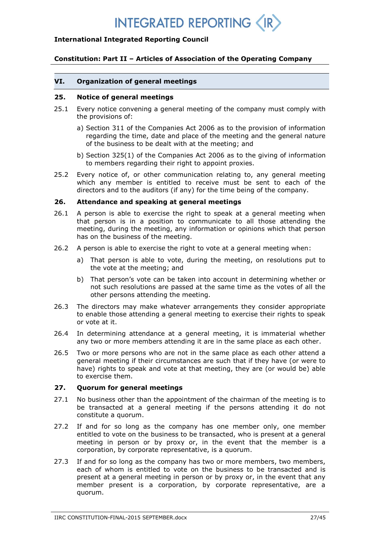## **INTEGRATED REPORTING <**

## **International Integrated Reporting Council**

## **Constitution: Part II – Articles of Association of the Operating Company**

### **VI. Organization of general meetings**

### **25. Notice of general meetings**

- 25.1 Every notice convening a general meeting of the company must comply with the provisions of:
	- a) Section 311 of the Companies Act 2006 as to the provision of information regarding the time, date and place of the meeting and the general nature of the business to be dealt with at the meeting; and
	- b) Section 325(1) of the Companies Act 2006 as to the giving of information to members regarding their right to appoint proxies.
- 25.2 Every notice of, or other communication relating to, any general meeting which any member is entitled to receive must be sent to each of the directors and to the auditors (if any) for the time being of the company.

## **26. Attendance and speaking at general meetings**

- 26.1 A person is able to exercise the right to speak at a general meeting when that person is in a position to communicate to all those attending the meeting, during the meeting, any information or opinions which that person has on the business of the meeting.
- 26.2 A person is able to exercise the right to vote at a general meeting when:
	- a) That person is able to vote, during the meeting, on resolutions put to the vote at the meeting; and
	- b) That person's vote can be taken into account in determining whether or not such resolutions are passed at the same time as the votes of all the other persons attending the meeting.
- 26.3 The directors may make whatever arrangements they consider appropriate to enable those attending a general meeting to exercise their rights to speak or vote at it.
- 26.4 In determining attendance at a general meeting, it is immaterial whether any two or more members attending it are in the same place as each other.
- 26.5 Two or more persons who are not in the same place as each other attend a general meeting if their circumstances are such that if they have (or were to have) rights to speak and vote at that meeting, they are (or would be) able to exercise them.

## **27. Quorum for general meetings**

- 27.1 No business other than the appointment of the chairman of the meeting is to be transacted at a general meeting if the persons attending it do not constitute a quorum.
- 27.2 If and for so long as the company has one member only, one member entitled to vote on the business to be transacted, who is present at a general meeting in person or by proxy or, in the event that the member is a corporation, by corporate representative, is a quorum.
- 27.3 If and for so long as the company has two or more members, two members, each of whom is entitled to vote on the business to be transacted and is present at a general meeting in person or by proxy or, in the event that any member present is a corporation, by corporate representative, are a quorum.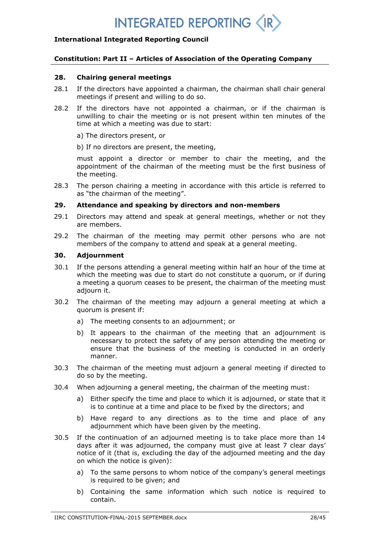## **International Integrated Reporting Council**

## **Constitution: Part II – Articles of Association of the Operating Company**

#### **28. Chairing general meetings**

- 28.1 If the directors have appointed a chairman, the chairman shall chair general meetings if present and willing to do so.
- 28.2 If the directors have not appointed a chairman, or if the chairman is unwilling to chair the meeting or is not present within ten minutes of the time at which a meeting was due to start:
	- a) The directors present, or
	- b) If no directors are present, the meeting,

must appoint a director or member to chair the meeting, and the appointment of the chairman of the meeting must be the first business of the meeting.

28.3 The person chairing a meeting in accordance with this article is referred to as "the chairman of the meeting".

#### **29. Attendance and speaking by directors and non-members**

- 29.1 Directors may attend and speak at general meetings, whether or not they are members.
- 29.2 The chairman of the meeting may permit other persons who are not members of the company to attend and speak at a general meeting.

### **30. Adjournment**

- 30.1 If the persons attending a general meeting within half an hour of the time at which the meeting was due to start do not constitute a quorum, or if during a meeting a quorum ceases to be present, the chairman of the meeting must adjourn it.
- 30.2 The chairman of the meeting may adjourn a general meeting at which a quorum is present if:
	- a) The meeting consents to an adjournment; or
	- b) It appears to the chairman of the meeting that an adjournment is necessary to protect the safety of any person attending the meeting or ensure that the business of the meeting is conducted in an orderly manner.
- 30.3 The chairman of the meeting must adjourn a general meeting if directed to do so by the meeting.
- 30.4 When adjourning a general meeting, the chairman of the meeting must:
	- a) Either specify the time and place to which it is adjourned, or state that it is to continue at a time and place to be fixed by the directors; and
	- b) Have regard to any directions as to the time and place of any adjournment which have been given by the meeting.
- 30.5 If the continuation of an adjourned meeting is to take place more than 14 days after it was adjourned, the company must give at least 7 clear days' notice of it (that is, excluding the day of the adjourned meeting and the day on which the notice is given):
	- a) To the same persons to whom notice of the company's general meetings is required to be given; and
	- b) Containing the same information which such notice is required to contain.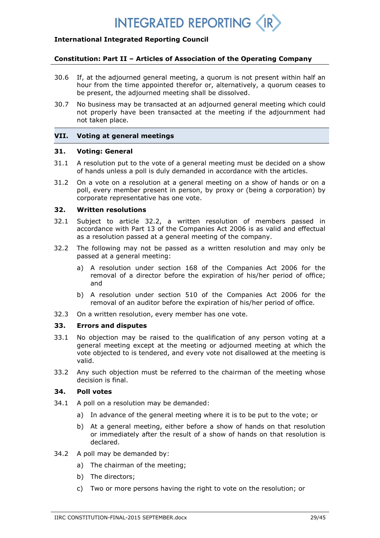## **INTEGRATED REPORTING <**

## **International Integrated Reporting Council**

## **Constitution: Part II – Articles of Association of the Operating Company**

- 30.6 If, at the adjourned general meeting, a quorum is not present within half an hour from the time appointed therefor or, alternatively, a quorum ceases to be present, the adjourned meeting shall be dissolved.
- 30.7 No business may be transacted at an adjourned general meeting which could not properly have been transacted at the meeting if the adjournment had not taken place.

## **VII. Voting at general meetings**

#### **31. Voting: General**

- 31.1 A resolution put to the vote of a general meeting must be decided on a show of hands unless a poll is duly demanded in accordance with the articles.
- 31.2 On a vote on a resolution at a general meeting on a show of hands or on a poll, every member present in person, by proxy or (being a corporation) by corporate representative has one vote.

### **32. Written resolutions**

- 32.1 Subject to article 32.2, a written resolution of members passed in accordance with Part 13 of the Companies Act 2006 is as valid and effectual as a resolution passed at a general meeting of the company.
- 32.2 The following may not be passed as a written resolution and may only be passed at a general meeting:
	- a) A resolution under section 168 of the Companies Act 2006 for the removal of a director before the expiration of his/her period of office; and
	- b) A resolution under section 510 of the Companies Act 2006 for the removal of an auditor before the expiration of his/her period of office.
- 32.3 On a written resolution, every member has one vote.

## **33. Errors and disputes**

- 33.1 No objection may be raised to the qualification of any person voting at a general meeting except at the meeting or adjourned meeting at which the vote objected to is tendered, and every vote not disallowed at the meeting is valid.
- 33.2 Any such objection must be referred to the chairman of the meeting whose decision is final.

## **34. Poll votes**

- 34.1 A poll on a resolution may be demanded:
	- a) In advance of the general meeting where it is to be put to the vote; or
	- b) At a general meeting, either before a show of hands on that resolution or immediately after the result of a show of hands on that resolution is declared.
- 34.2 A poll may be demanded by:
	- a) The chairman of the meeting;
	- b) The directors;
	- c) Two or more persons having the right to vote on the resolution; or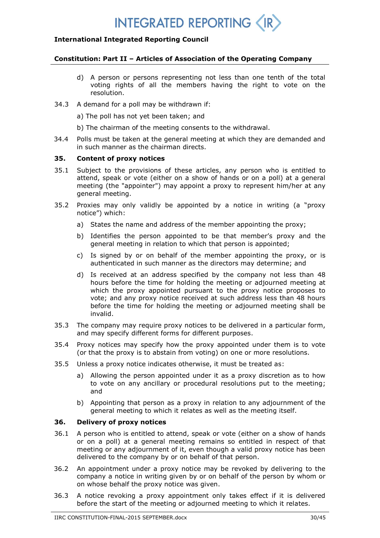## **International Integrated Reporting Council**

#### **Constitution: Part II – Articles of Association of the Operating Company**

- d) A person or persons representing not less than one tenth of the total voting rights of all the members having the right to vote on the resolution.
- 34.3 A demand for a poll may be withdrawn if:
	- a) The poll has not yet been taken; and
	- b) The chairman of the meeting consents to the withdrawal.
- 34.4 Polls must be taken at the general meeting at which they are demanded and in such manner as the chairman directs.

## **35. Content of proxy notices**

- 35.1 Subject to the provisions of these articles, any person who is entitled to attend, speak or vote (either on a show of hands or on a poll) at a general meeting (the "appointer") may appoint a proxy to represent him/her at any general meeting.
- 35.2 Proxies may only validly be appointed by a notice in writing (a "proxy notice") which:
	- a) States the name and address of the member appointing the proxy;
	- b) Identifies the person appointed to be that member's proxy and the general meeting in relation to which that person is appointed;
	- c) Is signed by or on behalf of the member appointing the proxy, or is authenticated in such manner as the directors may determine; and
	- d) Is received at an address specified by the company not less than 48 hours before the time for holding the meeting or adjourned meeting at which the proxy appointed pursuant to the proxy notice proposes to vote; and any proxy notice received at such address less than 48 hours before the time for holding the meeting or adjourned meeting shall be invalid.
- 35.3 The company may require proxy notices to be delivered in a particular form, and may specify different forms for different purposes.
- 35.4 Proxy notices may specify how the proxy appointed under them is to vote (or that the proxy is to abstain from voting) on one or more resolutions.
- 35.5 Unless a proxy notice indicates otherwise, it must be treated as:
	- a) Allowing the person appointed under it as a proxy discretion as to how to vote on any ancillary or procedural resolutions put to the meeting; and
	- b) Appointing that person as a proxy in relation to any adjournment of the general meeting to which it relates as well as the meeting itself.

#### **36. Delivery of proxy notices**

- 36.1 A person who is entitled to attend, speak or vote (either on a show of hands or on a poll) at a general meeting remains so entitled in respect of that meeting or any adjournment of it, even though a valid proxy notice has been delivered to the company by or on behalf of that person.
- 36.2 An appointment under a proxy notice may be revoked by delivering to the company a notice in writing given by or on behalf of the person by whom or on whose behalf the proxy notice was given.
- 36.3 A notice revoking a proxy appointment only takes effect if it is delivered before the start of the meeting or adjourned meeting to which it relates.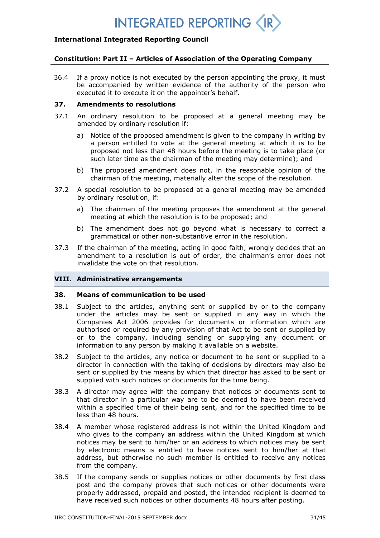

## **Constitution: Part II – Articles of Association of the Operating Company**

36.4 If a proxy notice is not executed by the person appointing the proxy, it must be accompanied by written evidence of the authority of the person who executed it to execute it on the appointer's behalf.

#### **37. Amendments to resolutions**

- 37.1 An ordinary resolution to be proposed at a general meeting may be amended by ordinary resolution if:
	- a) Notice of the proposed amendment is given to the company in writing by a person entitled to vote at the general meeting at which it is to be proposed not less than 48 hours before the meeting is to take place (or such later time as the chairman of the meeting may determine); and
	- b) The proposed amendment does not, in the reasonable opinion of the chairman of the meeting, materially alter the scope of the resolution.
- 37.2 A special resolution to be proposed at a general meeting may be amended by ordinary resolution, if:
	- a) The chairman of the meeting proposes the amendment at the general meeting at which the resolution is to be proposed; and
	- b) The amendment does not go beyond what is necessary to correct a grammatical or other non-substantive error in the resolution.
- 37.3 If the chairman of the meeting, acting in good faith, wrongly decides that an amendment to a resolution is out of order, the chairman's error does not invalidate the vote on that resolution.

### **VIII. Administrative arrangements**

#### **38. Means of communication to be used**

- 38.1 Subject to the articles, anything sent or supplied by or to the company under the articles may be sent or supplied in any way in which the Companies Act 2006 provides for documents or information which are authorised or required by any provision of that Act to be sent or supplied by or to the company, including sending or supplying any document or information to any person by making it available on a website.
- 38.2 Subject to the articles, any notice or document to be sent or supplied to a director in connection with the taking of decisions by directors may also be sent or supplied by the means by which that director has asked to be sent or supplied with such notices or documents for the time being.
- 38.3 A director may agree with the company that notices or documents sent to that director in a particular way are to be deemed to have been received within a specified time of their being sent, and for the specified time to be less than 48 hours.
- 38.4 A member whose registered address is not within the United Kingdom and who gives to the company an address within the United Kingdom at which notices may be sent to him/her or an address to which notices may be sent by electronic means is entitled to have notices sent to him/her at that address, but otherwise no such member is entitled to receive any notices from the company.
- 38.5 If the company sends or supplies notices or other documents by first class post and the company proves that such notices or other documents were properly addressed, prepaid and posted, the intended recipient is deemed to have received such notices or other documents 48 hours after posting.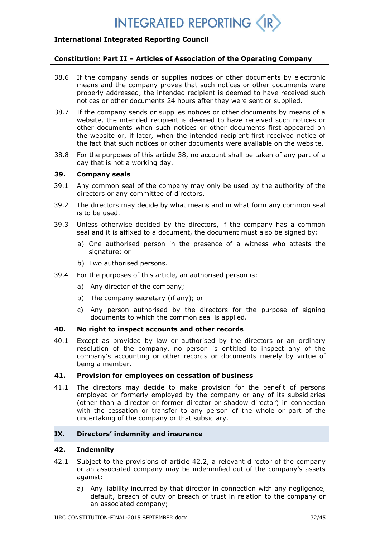## **International Integrated Reporting Council**

#### **Constitution: Part II – Articles of Association of the Operating Company**

- 38.6 If the company sends or supplies notices or other documents by electronic means and the company proves that such notices or other documents were properly addressed, the intended recipient is deemed to have received such notices or other documents 24 hours after they were sent or supplied.
- 38.7 If the company sends or supplies notices or other documents by means of a website, the intended recipient is deemed to have received such notices or other documents when such notices or other documents first appeared on the website or, if later, when the intended recipient first received notice of the fact that such notices or other documents were available on the website.
- 38.8 For the purposes of this article 38, no account shall be taken of any part of a day that is not a working day.

#### **39. Company seals**

- 39.1 Any common seal of the company may only be used by the authority of the directors or any committee of directors.
- 39.2 The directors may decide by what means and in what form any common seal is to be used.
- 39.3 Unless otherwise decided by the directors, if the company has a common seal and it is affixed to a document, the document must also be signed by:
	- a) One authorised person in the presence of a witness who attests the signature; or
	- b) Two authorised persons.
- 39.4 For the purposes of this article, an authorised person is:
	- a) Any director of the company;
	- b) The company secretary (if any); or
	- c) Any person authorised by the directors for the purpose of signing documents to which the common seal is applied.

#### **40. No right to inspect accounts and other records**

40.1 Except as provided by law or authorised by the directors or an ordinary resolution of the company, no person is entitled to inspect any of the company's accounting or other records or documents merely by virtue of being a member.

#### **41. Provision for employees on cessation of business**

41.1 The directors may decide to make provision for the benefit of persons employed or formerly employed by the company or any of its subsidiaries (other than a director or former director or shadow director) in connection with the cessation or transfer to any person of the whole or part of the undertaking of the company or that subsidiary.

### **IX. Directors' indemnity and insurance**

#### **42. Indemnity**

- 42.1 Subject to the provisions of article 42.2, a relevant director of the company or an associated company may be indemnified out of the company's assets against:
	- a) Any liability incurred by that director in connection with any negligence, default, breach of duty or breach of trust in relation to the company or an associated company;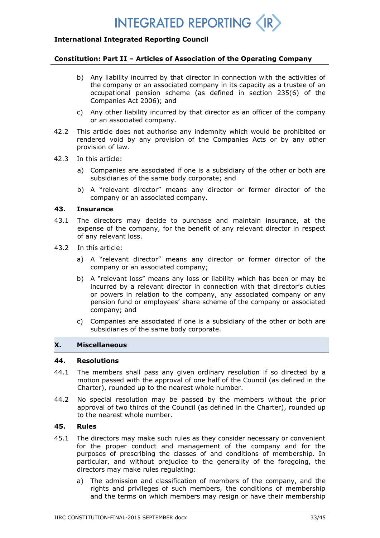

#### **Constitution: Part II – Articles of Association of the Operating Company**

- b) Any liability incurred by that director in connection with the activities of the company or an associated company in its capacity as a trustee of an occupational pension scheme (as defined in section 235(6) of the Companies Act 2006); and
- c) Any other liability incurred by that director as an officer of the company or an associated company.
- 42.2 This article does not authorise any indemnity which would be prohibited or rendered void by any provision of the Companies Acts or by any other provision of law.
- 42.3 In this article:
	- a) Companies are associated if one is a subsidiary of the other or both are subsidiaries of the same body corporate; and
	- b) A "relevant director" means any director or former director of the company or an associated company.

### **43. Insurance**

- 43.1 The directors may decide to purchase and maintain insurance, at the expense of the company, for the benefit of any relevant director in respect of any relevant loss.
- 43.2 In this article:
	- a) A "relevant director" means any director or former director of the company or an associated company;
	- b) A "relevant loss" means any loss or liability which has been or may be incurred by a relevant director in connection with that director's duties or powers in relation to the company, any associated company or any pension fund or employees' share scheme of the company or associated company; and
	- c) Companies are associated if one is a subsidiary of the other or both are subsidiaries of the same body corporate.

### **X. Miscellaneous**

#### **44. Resolutions**

- 44.1 The members shall pass any given ordinary resolution if so directed by a motion passed with the approval of one half of the Council (as defined in the Charter), rounded up to the nearest whole number.
- 44.2 No special resolution may be passed by the members without the prior approval of two thirds of the Council (as defined in the Charter), rounded up to the nearest whole number.

## **45. Rules**

- 45.1 The directors may make such rules as they consider necessary or convenient for the proper conduct and management of the company and for the purposes of prescribing the classes of and conditions of membership. In particular, and without prejudice to the generality of the foregoing, the directors may make rules regulating:
	- a) The admission and classification of members of the company, and the rights and privileges of such members, the conditions of membership and the terms on which members may resign or have their membership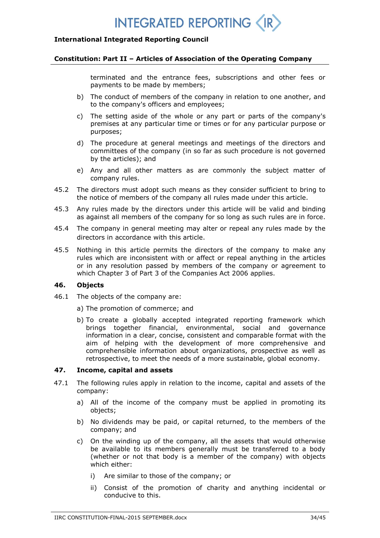### **International Integrated Reporting Council**

#### **Constitution: Part II – Articles of Association of the Operating Company**

terminated and the entrance fees, subscriptions and other fees or payments to be made by members;

- b) The conduct of members of the company in relation to one another, and to the company's officers and employees;
- c) The setting aside of the whole or any part or parts of the company's premises at any particular time or times or for any particular purpose or purposes;
- d) The procedure at general meetings and meetings of the directors and committees of the company (in so far as such procedure is not governed by the articles); and
- e) Any and all other matters as are commonly the subject matter of company rules.
- 45.2 The directors must adopt such means as they consider sufficient to bring to the notice of members of the company all rules made under this article.
- 45.3 Any rules made by the directors under this article will be valid and binding as against all members of the company for so long as such rules are in force.
- 45.4 The company in general meeting may alter or repeal any rules made by the directors in accordance with this article.
- 45.5 Nothing in this article permits the directors of the company to make any rules which are inconsistent with or affect or repeal anything in the articles or in any resolution passed by members of the company or agreement to which Chapter 3 of Part 3 of the Companies Act 2006 applies.

### **46. Objects**

- 46.1 The objects of the company are:
	- a) The promotion of commerce; and
	- b) To create a globally accepted integrated reporting framework which brings together financial, environmental, social and governance information in a clear, concise, consistent and comparable format with the aim of helping with the development of more comprehensive and comprehensible information about organizations, prospective as well as retrospective, to meet the needs of a more sustainable, global economy.

## **47. Income, capital and assets**

- 47.1 The following rules apply in relation to the income, capital and assets of the company:
	- a) All of the income of the company must be applied in promoting its objects;
	- b) No dividends may be paid, or capital returned, to the members of the company; and
	- c) On the winding up of the company, all the assets that would otherwise be available to its members generally must be transferred to a body (whether or not that body is a member of the company) with objects which either:
		- i) Are similar to those of the company; or
		- ii) Consist of the promotion of charity and anything incidental or conducive to this.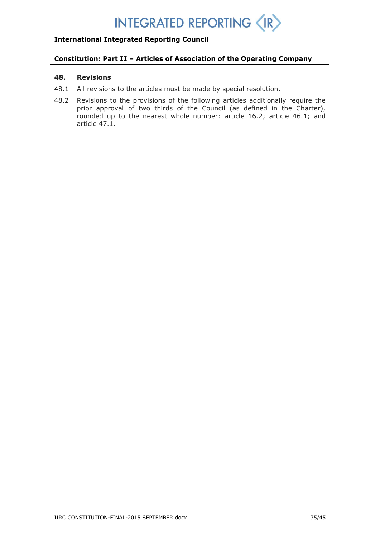## **International Integrated Reporting Council**

## **Constitution: Part II – Articles of Association of the Operating Company**

#### **48. Revisions**

- 48.1 All revisions to the articles must be made by special resolution.
- 48.2 Revisions to the provisions of the following articles additionally require the prior approval of two thirds of the Council (as defined in the Charter), rounded up to the nearest whole number: article 16.2; article 46.1; and article 47.1.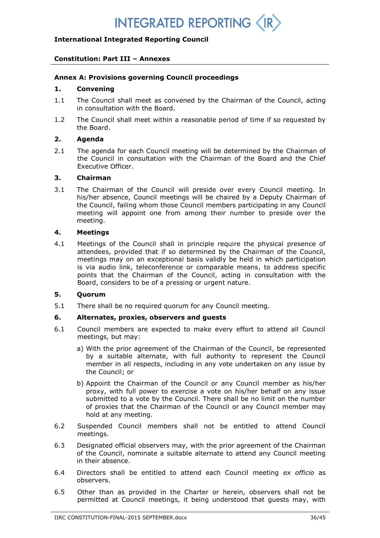## **Constitution: Part III – Annexes**

## **Annex A: Provisions governing Council proceedings**

### **1. Convening**

- 1.1 The Council shall meet as convened by the Chairman of the Council, acting in consultation with the Board.
- 1.2 The Council shall meet within a reasonable period of time if so requested by the Board.

### **2. Agenda**

2.1 The agenda for each Council meeting will be determined by the Chairman of the Council in consultation with the Chairman of the Board and the Chief Executive Officer.

#### **3. Chairman**

3.1 The Chairman of the Council will preside over every Council meeting. In his/her absence, Council meetings will be chaired by a Deputy Chairman of the Council, failing whom those Council members participating in any Council meeting will appoint one from among their number to preside over the meeting.

#### **4. Meetings**

4.1 Meetings of the Council shall in principle require the physical presence of attendees, provided that if so determined by the Chairman of the Council, meetings may on an exceptional basis validly be held in which participation is via audio link, teleconference or comparable means, to address specific points that the Chairman of the Council, acting in consultation with the Board, considers to be of a pressing or urgent nature.

### **5. Quorum**

5.1 There shall be no required quorum for any Council meeting.

## **6. Alternates, proxies, observers and guests**

- 6.1 Council members are expected to make every effort to attend all Council meetings, but may:
	- a) With the prior agreement of the Chairman of the Council, be represented by a suitable alternate, with full authority to represent the Council member in all respects, including in any vote undertaken on any issue by the Council; or
	- b) Appoint the Chairman of the Council or any Council member as his/her proxy, with full power to exercise a vote on his/her behalf on any issue submitted to a vote by the Council. There shall be no limit on the number of proxies that the Chairman of the Council or any Council member may hold at any meeting.
- 6.2 Suspended Council members shall not be entitled to attend Council meetings.
- 6.3 Designated official observers may, with the prior agreement of the Chairman of the Council, nominate a suitable alternate to attend any Council meeting in their absence.
- 6.4 Directors shall be entitled to attend each Council meeting *ex officio* as observers.
- 6.5 Other than as provided in the Charter or herein, observers shall not be permitted at Council meetings, it being understood that guests may, with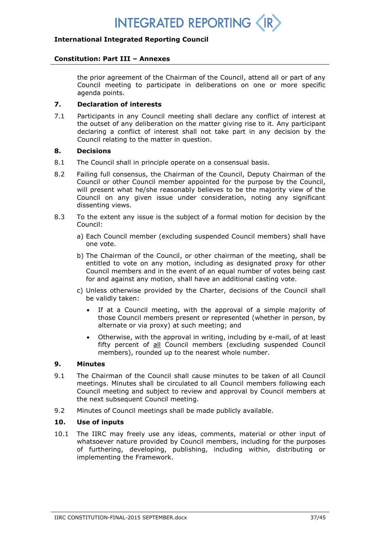

#### **Constitution: Part III – Annexes**

the prior agreement of the Chairman of the Council, attend all or part of any Council meeting to participate in deliberations on one or more specific agenda points.

## **7. Declaration of interests**

7.1 Participants in any Council meeting shall declare any conflict of interest at the outset of any deliberation on the matter giving rise to it. Any participant declaring a conflict of interest shall not take part in any decision by the Council relating to the matter in question.

### **8. Decisions**

- 8.1 The Council shall in principle operate on a consensual basis.
- 8.2 Failing full consensus, the Chairman of the Council, Deputy Chairman of the Council or other Council member appointed for the purpose by the Council, will present what he/she reasonably believes to be the majority view of the Council on any given issue under consideration, noting any significant dissenting views.
- 8.3 To the extent any issue is the subject of a formal motion for decision by the Council:
	- a) Each Council member (excluding suspended Council members) shall have one vote.
	- b) The Chairman of the Council, or other chairman of the meeting, shall be entitled to vote on any motion, including as designated proxy for other Council members and in the event of an equal number of votes being cast for and against any motion, shall have an additional casting vote.
	- c) Unless otherwise provided by the Charter, decisions of the Council shall be validly taken:
		- If at a Council meeting, with the approval of a simple majority of those Council members present or represented (whether in person, by alternate or via proxy) at such meeting; and
		- Otherwise, with the approval in writing, including by e-mail, of at least fifty percent of all Council members (excluding suspended Council members), rounded up to the nearest whole number.

### **9. Minutes**

- 9.1 The Chairman of the Council shall cause minutes to be taken of all Council meetings. Minutes shall be circulated to all Council members following each Council meeting and subject to review and approval by Council members at the next subsequent Council meeting.
- 9.2 Minutes of Council meetings shall be made publicly available.

### **10. Use of inputs**

10.1 The IIRC may freely use any ideas, comments, material or other input of whatsoever nature provided by Council members, including for the purposes of furthering, developing, publishing, including within, distributing or implementing the Framework.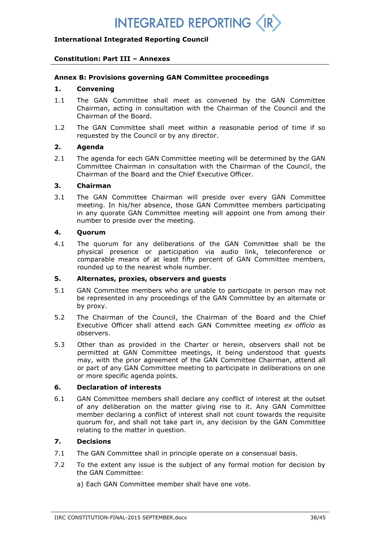## **International Integrated Reporting Council**

### **Constitution: Part III – Annexes**

### **Annex B: Provisions governing GAN Committee proceedings**

### **1. Convening**

- 1.1 The GAN Committee shall meet as convened by the GAN Committee Chairman, acting in consultation with the Chairman of the Council and the Chairman of the Board.
- 1.2 The GAN Committee shall meet within a reasonable period of time if so requested by the Council or by any director.

#### **2. Agenda**

2.1 The agenda for each GAN Committee meeting will be determined by the GAN Committee Chairman in consultation with the Chairman of the Council, the Chairman of the Board and the Chief Executive Officer.

## **3. Chairman**

3.1 The GAN Committee Chairman will preside over every GAN Committee meeting. In his/her absence, those GAN Committee members participating in any quorate GAN Committee meeting will appoint one from among their number to preside over the meeting.

### **4. Quorum**

4.1 The quorum for any deliberations of the GAN Committee shall be the physical presence or participation via audio link, teleconference or comparable means of at least fifty percent of GAN Committee members, rounded up to the nearest whole number.

## **5. Alternates, proxies, observers and guests**

- 5.1 GAN Committee members who are unable to participate in person may not be represented in any proceedings of the GAN Committee by an alternate or by proxy.
- 5.2 The Chairman of the Council, the Chairman of the Board and the Chief Executive Officer shall attend each GAN Committee meeting *ex officio* as observers.
- 5.3 Other than as provided in the Charter or herein, observers shall not be permitted at GAN Committee meetings, it being understood that guests may, with the prior agreement of the GAN Committee Chairman, attend all or part of any GAN Committee meeting to participate in deliberations on one or more specific agenda points.

### **6. Declaration of interests**

6.1 GAN Committee members shall declare any conflict of interest at the outset of any deliberation on the matter giving rise to it. Any GAN Committee member declaring a conflict of interest shall not count towards the requisite quorum for, and shall not take part in, any decision by the GAN Committee relating to the matter in question.

### **7. Decisions**

- 7.1 The GAN Committee shall in principle operate on a consensual basis.
- 7.2 To the extent any issue is the subject of any formal motion for decision by the GAN Committee:
	- a) Each GAN Committee member shall have one vote.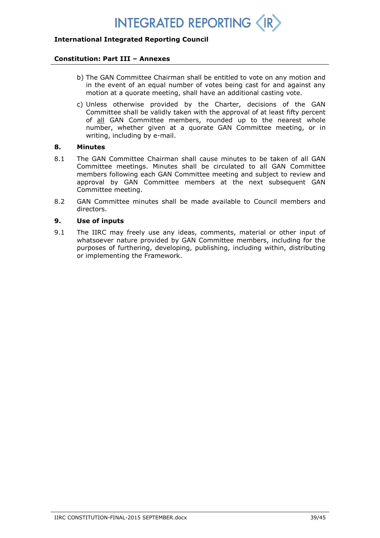## **International Integrated Reporting Council**

#### **Constitution: Part III – Annexes**

- b) The GAN Committee Chairman shall be entitled to vote on any motion and in the event of an equal number of votes being cast for and against any motion at a quorate meeting, shall have an additional casting vote.
- c) Unless otherwise provided by the Charter, decisions of the GAN Committee shall be validly taken with the approval of at least fifty percent of all GAN Committee members, rounded up to the nearest whole number, whether given at a quorate GAN Committee meeting, or in writing, including by e-mail.

#### **8. Minutes**

- 8.1 The GAN Committee Chairman shall cause minutes to be taken of all GAN Committee meetings. Minutes shall be circulated to all GAN Committee members following each GAN Committee meeting and subject to review and approval by GAN Committee members at the next subsequent GAN Committee meeting.
- 8.2 GAN Committee minutes shall be made available to Council members and directors.

## **9. Use of inputs**

9.1 The IIRC may freely use any ideas, comments, material or other input of whatsoever nature provided by GAN Committee members, including for the purposes of furthering, developing, publishing, including within, distributing or implementing the Framework.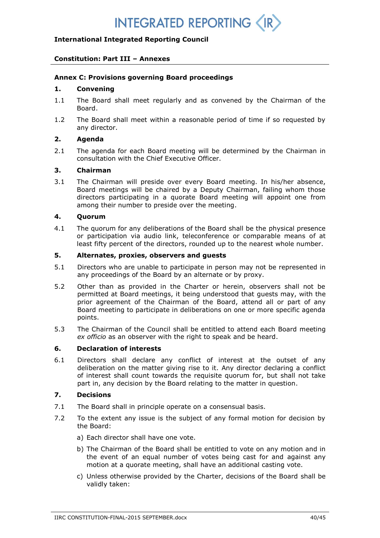## **Constitution: Part III – Annexes**

## **Annex C: Provisions governing Board proceedings**

## **1. Convening**

- 1.1 The Board shall meet regularly and as convened by the Chairman of the Board.
- 1.2 The Board shall meet within a reasonable period of time if so requested by any director.

## **2. Agenda**

2.1 The agenda for each Board meeting will be determined by the Chairman in consultation with the Chief Executive Officer.

### **3. Chairman**

3.1 The Chairman will preside over every Board meeting. In his/her absence, Board meetings will be chaired by a Deputy Chairman, failing whom those directors participating in a quorate Board meeting will appoint one from among their number to preside over the meeting.

### **4. Quorum**

4.1 The quorum for any deliberations of the Board shall be the physical presence or participation via audio link, teleconference or comparable means of at least fifty percent of the directors, rounded up to the nearest whole number.

## **5. Alternates, proxies, observers and guests**

- 5.1 Directors who are unable to participate in person may not be represented in any proceedings of the Board by an alternate or by proxy.
- 5.2 Other than as provided in the Charter or herein, observers shall not be permitted at Board meetings, it being understood that guests may, with the prior agreement of the Chairman of the Board, attend all or part of any Board meeting to participate in deliberations on one or more specific agenda points.
- 5.3 The Chairman of the Council shall be entitled to attend each Board meeting *ex officio* as an observer with the right to speak and be heard.

## **6. Declaration of interests**

6.1 Directors shall declare any conflict of interest at the outset of any deliberation on the matter giving rise to it. Any director declaring a conflict of interest shall count towards the requisite quorum for, but shall not take part in, any decision by the Board relating to the matter in question.

### **7. Decisions**

- 7.1 The Board shall in principle operate on a consensual basis.
- 7.2 To the extent any issue is the subject of any formal motion for decision by the Board:
	- a) Each director shall have one vote.
	- b) The Chairman of the Board shall be entitled to vote on any motion and in the event of an equal number of votes being cast for and against any motion at a quorate meeting, shall have an additional casting vote.
	- c) Unless otherwise provided by the Charter, decisions of the Board shall be validly taken: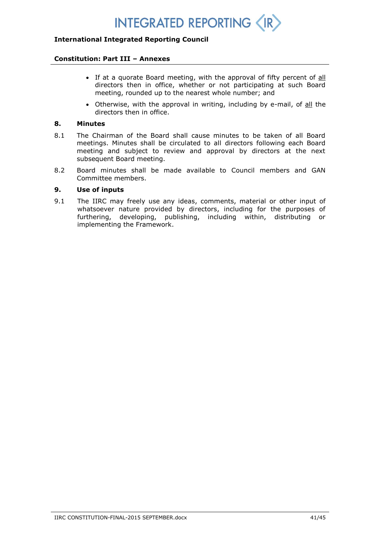## **International Integrated Reporting Council**

#### **Constitution: Part III – Annexes**

- If at a quorate Board meeting, with the approval of fifty percent of all directors then in office, whether or not participating at such Board meeting, rounded up to the nearest whole number; and
- Otherwise, with the approval in writing, including by e-mail, of all the directors then in office.

### **8. Minutes**

- 8.1 The Chairman of the Board shall cause minutes to be taken of all Board meetings. Minutes shall be circulated to all directors following each Board meeting and subject to review and approval by directors at the next subsequent Board meeting.
- 8.2 Board minutes shall be made available to Council members and GAN Committee members.

#### **9. Use of inputs**

9.1 The IIRC may freely use any ideas, comments, material or other input of whatsoever nature provided by directors, including for the purposes of furthering, developing, publishing, including within, distributing or implementing the Framework.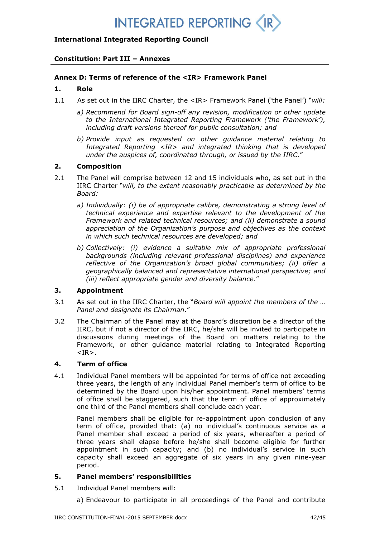## **International Integrated Reporting Council**

## **Constitution: Part III – Annexes**

## **Annex D: Terms of reference of the <IR> Framework Panel**

## **1. Role**

- 1.1 As set out in the IIRC Charter, the <IR> Framework Panel ('the Panel') "*will:*
	- *a) Recommend for Board sign-off any revision, modification or other update to the International Integrated Reporting Framework ('the Framework'), including draft versions thereof for public consultation; and*
	- *b) Provide input as requested on other guidance material relating to Integrated Reporting <IR> and integrated thinking that is developed under the auspices of, coordinated through, or issued by the IIRC*."

## **2. Composition**

- 2.1 The Panel will comprise between 12 and 15 individuals who, as set out in the IIRC Charter "*will, to the extent reasonably practicable as determined by the Board:*
	- *a) Individually: (i) be of appropriate calibre, demonstrating a strong level of technical experience and expertise relevant to the development of the Framework and related technical resources; and (ii) demonstrate a sound appreciation of the Organization's purpose and objectives as the context in which such technical resources are developed; and*
	- *b) Collectively: (i) evidence a suitable mix of appropriate professional backgrounds (including relevant professional disciplines) and experience reflective of the Organization's broad global communities; (ii) offer a geographically balanced and representative international perspective; and (iii) reflect appropriate gender and diversity balance*."

## **3. Appointment**

- 3.1 As set out in the IIRC Charter, the "*Board will appoint the members of the … Panel and designate its Chairman*."
- 3.2 The Chairman of the Panel may at the Board's discretion be a director of the IIRC, but if not a director of the IIRC, he/she will be invited to participate in discussions during meetings of the Board on matters relating to the Framework, or other guidance material relating to Integrated Reporting  $<$ IR $>$ .

## **4. Term of office**

4.1 Individual Panel members will be appointed for terms of office not exceeding three years, the length of any individual Panel member's term of office to be determined by the Board upon his/her appointment. Panel members' terms of office shall be staggered, such that the term of office of approximately one third of the Panel members shall conclude each year.

Panel members shall be eligible for re-appointment upon conclusion of any term of office, provided that: (a) no individual's continuous service as a Panel member shall exceed a period of six years, whereafter a period of three years shall elapse before he/she shall become eligible for further appointment in such capacity; and (b) no individual's service in such capacity shall exceed an aggregate of six years in any given nine-year period.

## **5. Panel members' responsibilities**

5.1 Individual Panel members will:

a) Endeavour to participate in all proceedings of the Panel and contribute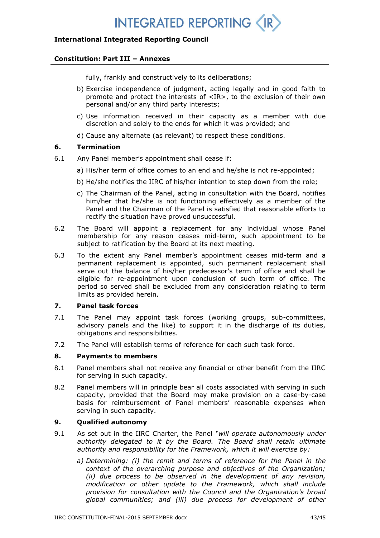## **International Integrated Reporting Council**

#### **Constitution: Part III – Annexes**

fully, frankly and constructively to its deliberations;

- b) Exercise independence of judgment, acting legally and in good faith to promote and protect the interests of <IR>, to the exclusion of their own personal and/or any third party interests;
- c) Use information received in their capacity as a member with due discretion and solely to the ends for which it was provided; and
- d) Cause any alternate (as relevant) to respect these conditions.

## **6. Termination**

- 6.1 Any Panel member's appointment shall cease if:
	- a) His/her term of office comes to an end and he/she is not re-appointed;
	- b) He/she notifies the IIRC of his/her intention to step down from the role;
	- c) The Chairman of the Panel, acting in consultation with the Board, notifies him/her that he/she is not functioning effectively as a member of the Panel and the Chairman of the Panel is satisfied that reasonable efforts to rectify the situation have proved unsuccessful.
- 6.2 The Board will appoint a replacement for any individual whose Panel membership for any reason ceases mid-term, such appointment to be subject to ratification by the Board at its next meeting.
- 6.3 To the extent any Panel member's appointment ceases mid-term and a permanent replacement is appointed, such permanent replacement shall serve out the balance of his/her predecessor's term of office and shall be eligible for re-appointment upon conclusion of such term of office. The period so served shall be excluded from any consideration relating to term limits as provided herein.

## **7. Panel task forces**

- 7.1 The Panel may appoint task forces (working groups, sub-committees, advisory panels and the like) to support it in the discharge of its duties, obligations and responsibilities.
- 7.2 The Panel will establish terms of reference for each such task force.

### **8. Payments to members**

- 8.1 Panel members shall not receive any financial or other benefit from the IIRC for serving in such capacity.
- 8.2 Panel members will in principle bear all costs associated with serving in such capacity, provided that the Board may make provision on a case-by-case basis for reimbursement of Panel members' reasonable expenses when serving in such capacity.

### **9. Qualified autonomy**

- 9.1 As set out in the IIRC Charter, the Panel *"will operate autonomously under authority delegated to it by the Board. The Board shall retain ultimate authority and responsibility for the Framework, which it will exercise by:*
	- *a) Determining: (i) the remit and terms of reference for the Panel in the context of the overarching purpose and objectives of the Organization; (ii) due process to be observed in the development of any revision, modification or other update to the Framework, which shall include provision for consultation with the Council and the Organization's broad global communities; and (iii) due process for development of other*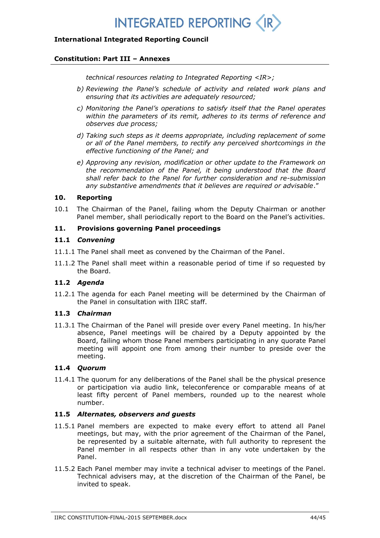## **International Integrated Reporting Council**

#### **Constitution: Part III – Annexes**

*technical resources relating to Integrated Reporting <IR>;*

- *b) Reviewing the Panel's schedule of activity and related work plans and ensuring that its activities are adequately resourced;*
- *c) Monitoring the Panel's operations to satisfy itself that the Panel operates within the parameters of its remit, adheres to its terms of reference and observes due process;*
- *d) Taking such steps as it deems appropriate, including replacement of some or all of the Panel members, to rectify any perceived shortcomings in the effective functioning of the Panel; and*
- *e) Approving any revision, modification or other update to the Framework on the recommendation of the Panel, it being understood that the Board shall refer back to the Panel for further consideration and re-submission any substantive amendments that it believes are required or advisable*."

#### **10. Reporting**

10.1 The Chairman of the Panel, failing whom the Deputy Chairman or another Panel member, shall periodically report to the Board on the Panel's activities.

## **11. Provisions governing Panel proceedings**

#### **11.1** *Convening*

- 11.1.1 The Panel shall meet as convened by the Chairman of the Panel.
- 11.1.2 The Panel shall meet within a reasonable period of time if so requested by the Board.

## **11.2** *Agenda*

11.2.1 The agenda for each Panel meeting will be determined by the Chairman of the Panel in consultation with IIRC staff.

### **11.3** *Chairman*

11.3.1 The Chairman of the Panel will preside over every Panel meeting. In his/her absence, Panel meetings will be chaired by a Deputy appointed by the Board, failing whom those Panel members participating in any quorate Panel meeting will appoint one from among their number to preside over the meeting.

## **11.4** *Quorum*

11.4.1 The quorum for any deliberations of the Panel shall be the physical presence or participation via audio link, teleconference or comparable means of at least fifty percent of Panel members, rounded up to the nearest whole number.

#### **11.5** *Alternates, observers and guests*

- 11.5.1 Panel members are expected to make every effort to attend all Panel meetings, but may, with the prior agreement of the Chairman of the Panel, be represented by a suitable alternate, with full authority to represent the Panel member in all respects other than in any vote undertaken by the Panel.
- 11.5.2 Each Panel member may invite a technical adviser to meetings of the Panel. Technical advisers may, at the discretion of the Chairman of the Panel, be invited to speak.